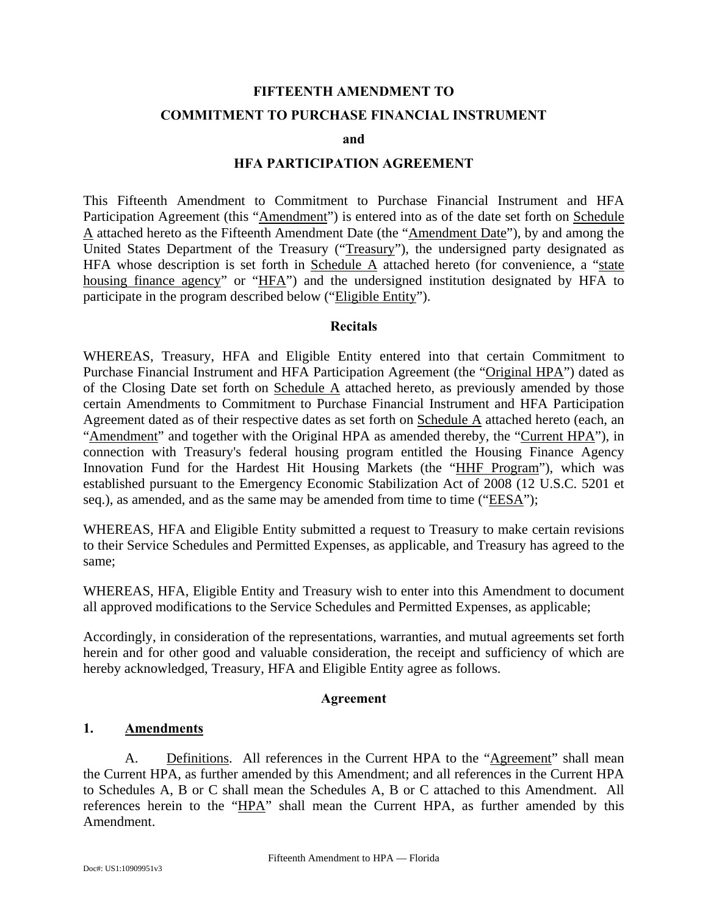# **FIFTEENTH AMENDMENT TO**

#### **COMMITMENT TO PURCHASE FINANCIAL INSTRUMENT**

#### **and**

#### **HFA PARTICIPATION AGREEMENT**

This Fifteenth Amendment to Commitment to Purchase Financial Instrument and HFA Participation Agreement (this "Amendment") is entered into as of the date set forth on Schedule A attached hereto as the Fifteenth Amendment Date (the "Amendment Date"), by and among the United States Department of the Treasury ("Treasury"), the undersigned party designated as HFA whose description is set forth in Schedule A attached hereto (for convenience, a "state housing finance agency" or "HFA") and the undersigned institution designated by HFA to participate in the program described below ("Eligible Entity").

#### **Recitals**

WHEREAS, Treasury, HFA and Eligible Entity entered into that certain Commitment to Purchase Financial Instrument and HFA Participation Agreement (the "Original HPA") dated as of the Closing Date set forth on Schedule A attached hereto, as previously amended by those certain Amendments to Commitment to Purchase Financial Instrument and HFA Participation Agreement dated as of their respective dates as set forth on Schedule A attached hereto (each, an "Amendment" and together with the Original HPA as amended thereby, the "Current HPA"), in connection with Treasury's federal housing program entitled the Housing Finance Agency Innovation Fund for the Hardest Hit Housing Markets (the "HHF Program"), which was established pursuant to the Emergency Economic Stabilization Act of 2008 (12 U.S.C. 5201 et seq.), as amended, and as the same may be amended from time to time ("EESA");

WHEREAS, HFA and Eligible Entity submitted a request to Treasury to make certain revisions to their Service Schedules and Permitted Expenses, as applicable, and Treasury has agreed to the same;

WHEREAS, HFA, Eligible Entity and Treasury wish to enter into this Amendment to document all approved modifications to the Service Schedules and Permitted Expenses, as applicable;

Accordingly, in consideration of the representations, warranties, and mutual agreements set forth herein and for other good and valuable consideration, the receipt and sufficiency of which are hereby acknowledged, Treasury, HFA and Eligible Entity agree as follows.

#### **Agreement**

#### **1. Amendments**

A. Definitions. All references in the Current HPA to the "Agreement" shall mean the Current HPA, as further amended by this Amendment; and all references in the Current HPA to Schedules A, B or C shall mean the Schedules A, B or C attached to this Amendment. All references herein to the "HPA" shall mean the Current HPA, as further amended by this Amendment.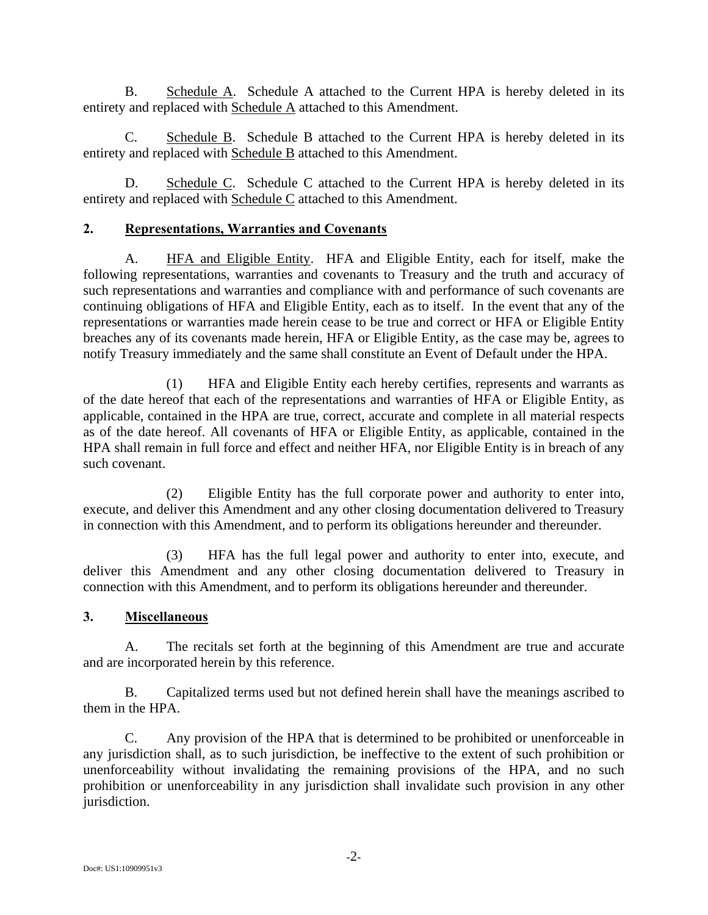B. Schedule A. Schedule A attached to the Current HPA is hereby deleted in its entirety and replaced with Schedule A attached to this Amendment.

C. Schedule B. Schedule B attached to the Current HPA is hereby deleted in its entirety and replaced with Schedule B attached to this Amendment.

D. Schedule C. Schedule C attached to the Current HPA is hereby deleted in its entirety and replaced with Schedule C attached to this Amendment.

## **2. Representations, Warranties and Covenants**

A. HFA and Eligible Entity. HFA and Eligible Entity, each for itself, make the following representations, warranties and covenants to Treasury and the truth and accuracy of such representations and warranties and compliance with and performance of such covenants are continuing obligations of HFA and Eligible Entity, each as to itself. In the event that any of the representations or warranties made herein cease to be true and correct or HFA or Eligible Entity breaches any of its covenants made herein, HFA or Eligible Entity, as the case may be, agrees to notify Treasury immediately and the same shall constitute an Event of Default under the HPA.

(1) HFA and Eligible Entity each hereby certifies, represents and warrants as of the date hereof that each of the representations and warranties of HFA or Eligible Entity, as applicable, contained in the HPA are true, correct, accurate and complete in all material respects as of the date hereof. All covenants of HFA or Eligible Entity, as applicable, contained in the HPA shall remain in full force and effect and neither HFA, nor Eligible Entity is in breach of any such covenant.

(2) Eligible Entity has the full corporate power and authority to enter into, execute, and deliver this Amendment and any other closing documentation delivered to Treasury in connection with this Amendment, and to perform its obligations hereunder and thereunder.

(3) HFA has the full legal power and authority to enter into, execute, and deliver this Amendment and any other closing documentation delivered to Treasury in connection with this Amendment, and to perform its obligations hereunder and thereunder.

## **3. Miscellaneous**

A. The recitals set forth at the beginning of this Amendment are true and accurate and are incorporated herein by this reference.

B. Capitalized terms used but not defined herein shall have the meanings ascribed to them in the HPA.

C. Any provision of the HPA that is determined to be prohibited or unenforceable in any jurisdiction shall, as to such jurisdiction, be ineffective to the extent of such prohibition or unenforceability without invalidating the remaining provisions of the HPA, and no such prohibition or unenforceability in any jurisdiction shall invalidate such provision in any other jurisdiction.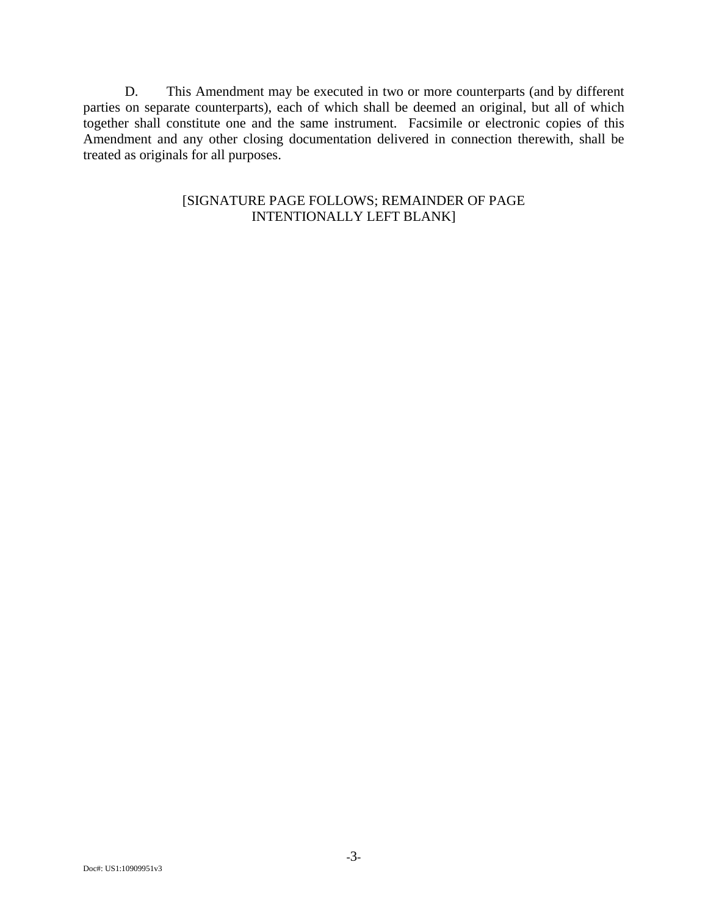D. This Amendment may be executed in two or more counterparts (and by different parties on separate counterparts), each of which shall be deemed an original, but all of which together shall constitute one and the same instrument. Facsimile or electronic copies of this Amendment and any other closing documentation delivered in connection therewith, shall be treated as originals for all purposes.

## [SIGNATURE PAGE FOLLOWS; REMAINDER OF PAGE INTENTIONALLY LEFT BLANK]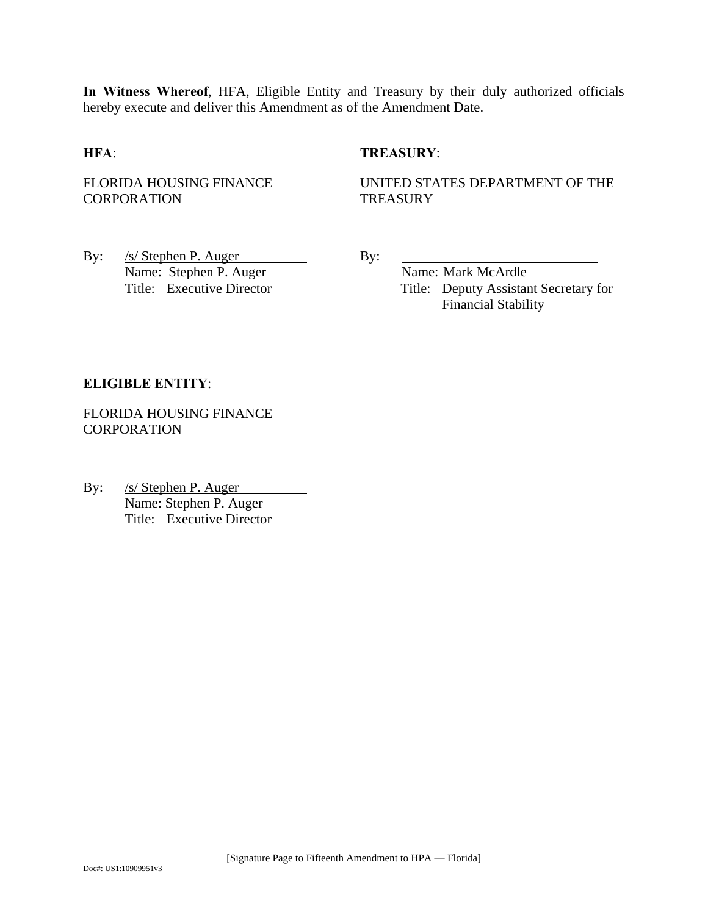**In Witness Whereof**, HFA, Eligible Entity and Treasury by their duly authorized officials hereby execute and deliver this Amendment as of the Amendment Date.

#### **HFA**: **TREASURY**:

FLORIDA HOUSING FINANCE CORPORATION

UNITED STATES DEPARTMENT OF THE **TREASURY** 

By: /s/ Stephen P. Auger By: Name: Stephen P. Auger Name: Mark McArdle

Title: Executive Director Title: Deputy Assistant Secretary for Financial Stability

#### **ELIGIBLE ENTITY**:

FLORIDA HOUSING FINANCE **CORPORATION** 

By: /s/ Stephen P. Auger Name: Stephen P. Auger Title: Executive Director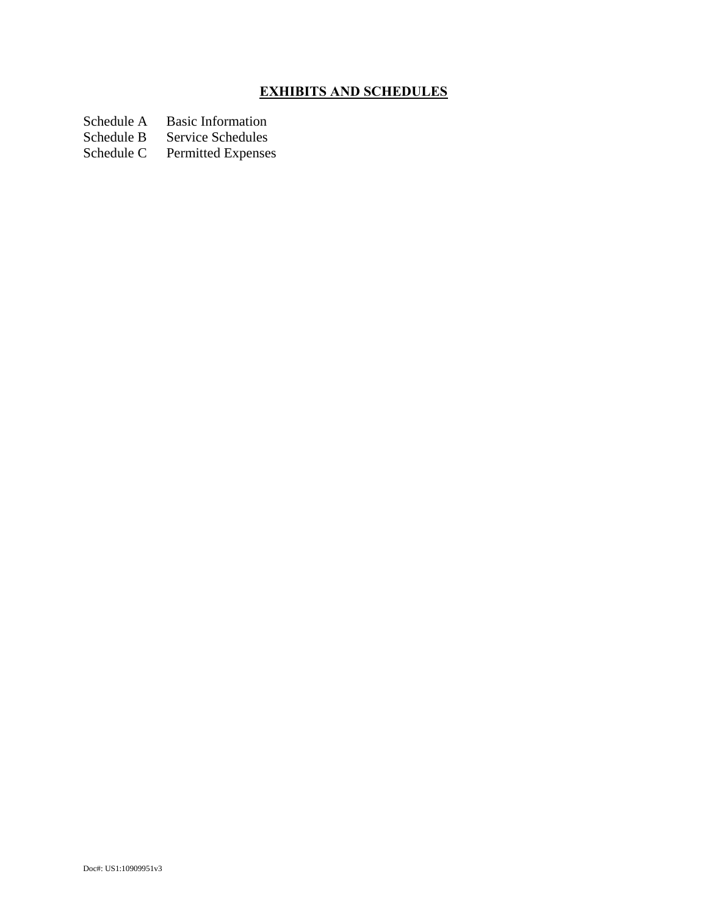# **EXHIBITS AND SCHEDULES**

Schedule A Basic Information<br>Schedule B Service Schedules

Schedule B Service Schedules<br>Schedule C Permitted Expenses

Permitted Expenses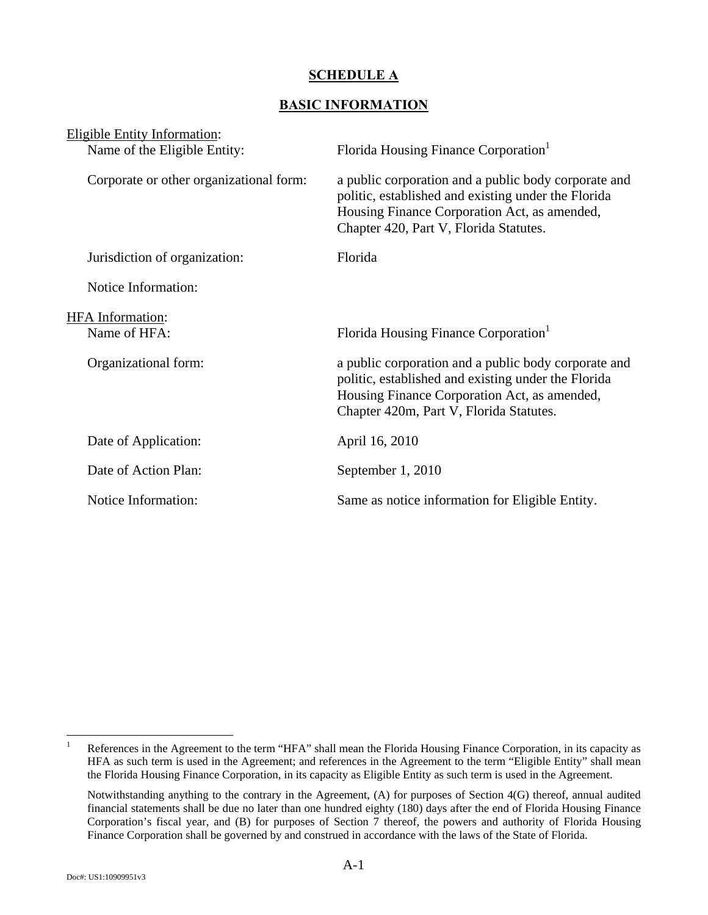## **SCHEDULE A**

## **BASIC INFORMATION**

| <b>Eligible Entity Information:</b>     |                                                                                                                                                                                                        |
|-----------------------------------------|--------------------------------------------------------------------------------------------------------------------------------------------------------------------------------------------------------|
| Name of the Eligible Entity:            | Florida Housing Finance Corporation <sup>1</sup>                                                                                                                                                       |
| Corporate or other organizational form: | a public corporation and a public body corporate and<br>politic, established and existing under the Florida<br>Housing Finance Corporation Act, as amended,<br>Chapter 420, Part V, Florida Statutes.  |
| Jurisdiction of organization:           | Florida                                                                                                                                                                                                |
| Notice Information:                     |                                                                                                                                                                                                        |
| <b>HFA</b> Information:                 |                                                                                                                                                                                                        |
| Name of HFA:                            | Florida Housing Finance Corporation                                                                                                                                                                    |
| Organizational form:                    | a public corporation and a public body corporate and<br>politic, established and existing under the Florida<br>Housing Finance Corporation Act, as amended,<br>Chapter 420m, Part V, Florida Statutes. |
| Date of Application:                    | April 16, 2010                                                                                                                                                                                         |
| Date of Action Plan:                    | September 1, 2010                                                                                                                                                                                      |
| Notice Information:                     | Same as notice information for Eligible Entity.                                                                                                                                                        |
|                                         |                                                                                                                                                                                                        |

 $\frac{1}{1}$  References in the Agreement to the term "HFA" shall mean the Florida Housing Finance Corporation, in its capacity as HFA as such term is used in the Agreement; and references in the Agreement to the term "Eligible Entity" shall mean the Florida Housing Finance Corporation, in its capacity as Eligible Entity as such term is used in the Agreement.

Notwithstanding anything to the contrary in the Agreement, (A) for purposes of Section 4(G) thereof, annual audited financial statements shall be due no later than one hundred eighty (180) days after the end of Florida Housing Finance Corporation's fiscal year, and (B) for purposes of Section 7 thereof, the powers and authority of Florida Housing Finance Corporation shall be governed by and construed in accordance with the laws of the State of Florida.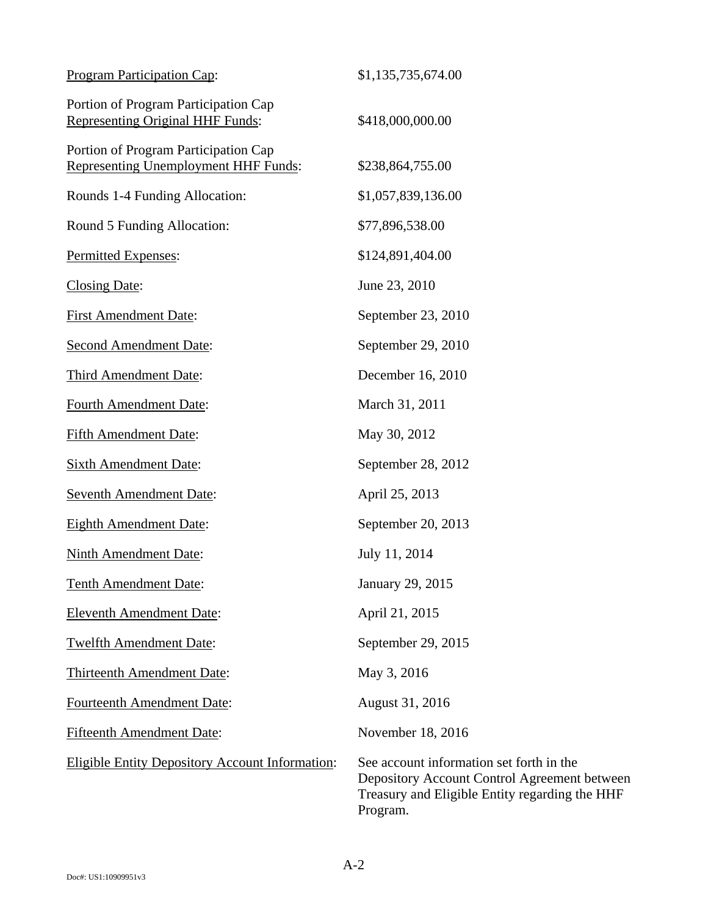| <b>Program Participation Cap:</b>                                                   | \$1,135,735,674.00                                                                                                                                     |
|-------------------------------------------------------------------------------------|--------------------------------------------------------------------------------------------------------------------------------------------------------|
| Portion of Program Participation Cap<br><b>Representing Original HHF Funds:</b>     | \$418,000,000.00                                                                                                                                       |
| Portion of Program Participation Cap<br><b>Representing Unemployment HHF Funds:</b> | \$238,864,755.00                                                                                                                                       |
| Rounds 1-4 Funding Allocation:                                                      | \$1,057,839,136.00                                                                                                                                     |
| Round 5 Funding Allocation:                                                         | \$77,896,538.00                                                                                                                                        |
| Permitted Expenses:                                                                 | \$124,891,404.00                                                                                                                                       |
| <b>Closing Date:</b>                                                                | June 23, 2010                                                                                                                                          |
| <b>First Amendment Date:</b>                                                        | September 23, 2010                                                                                                                                     |
| <b>Second Amendment Date:</b>                                                       | September 29, 2010                                                                                                                                     |
| Third Amendment Date:                                                               | December 16, 2010                                                                                                                                      |
| <b>Fourth Amendment Date:</b>                                                       | March 31, 2011                                                                                                                                         |
| <b>Fifth Amendment Date:</b>                                                        | May 30, 2012                                                                                                                                           |
| <b>Sixth Amendment Date:</b>                                                        | September 28, 2012                                                                                                                                     |
| <b>Seventh Amendment Date:</b>                                                      | April 25, 2013                                                                                                                                         |
| <b>Eighth Amendment Date:</b>                                                       | September 20, 2013                                                                                                                                     |
| Ninth Amendment Date:                                                               | July 11, 2014                                                                                                                                          |
| <b>Tenth Amendment Date:</b>                                                        | January 29, 2015                                                                                                                                       |
| <b>Eleventh Amendment Date:</b>                                                     | April 21, 2015                                                                                                                                         |
| <b>Twelfth Amendment Date:</b>                                                      | September 29, 2015                                                                                                                                     |
| Thirteenth Amendment Date:                                                          | May 3, 2016                                                                                                                                            |
| <b>Fourteenth Amendment Date:</b>                                                   | August 31, 2016                                                                                                                                        |
| <b>Fifteenth Amendment Date:</b>                                                    | November 18, 2016                                                                                                                                      |
| <b>Eligible Entity Depository Account Information:</b>                              | See account information set forth in the<br>Depository Account Control Agreement between<br>Treasury and Eligible Entity regarding the HHF<br>Program. |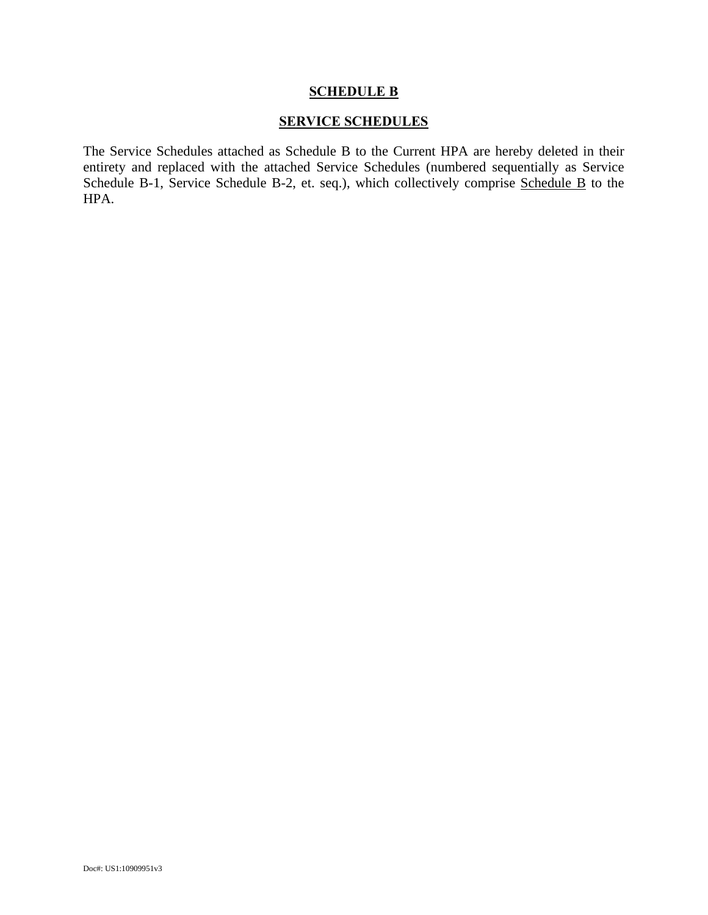#### **SCHEDULE B**

#### **SERVICE SCHEDULES**

The Service Schedules attached as Schedule B to the Current HPA are hereby deleted in their entirety and replaced with the attached Service Schedules (numbered sequentially as Service Schedule B-1, Service Schedule B-2, et. seq.), which collectively comprise Schedule B to the HPA.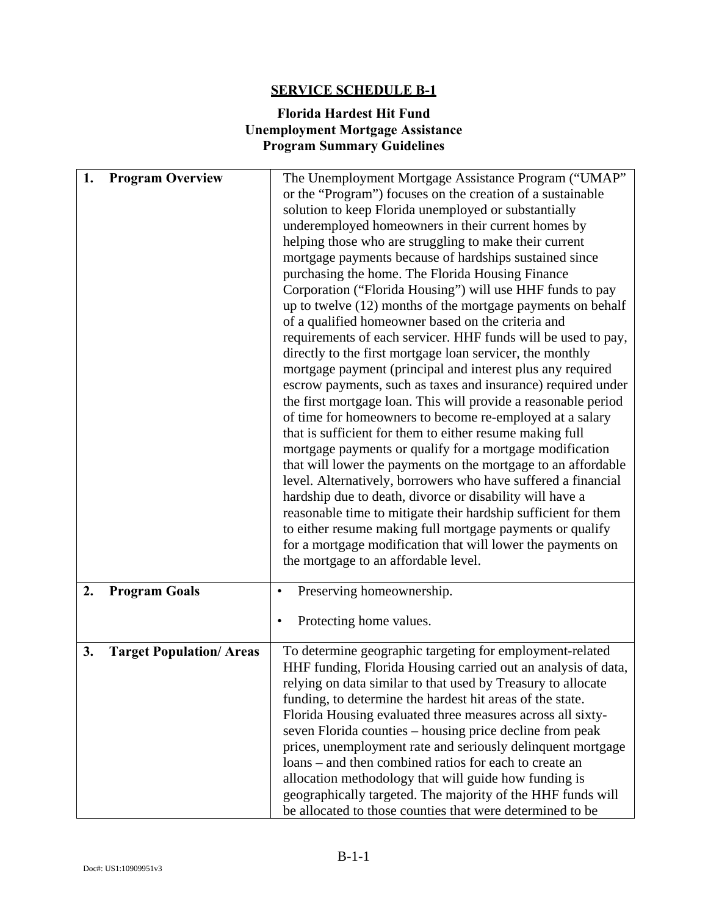## **Florida Hardest Hit Fund Unemployment Mortgage Assistance Program Summary Guidelines**

| 1. | <b>Program Overview</b>         | The Unemployment Mortgage Assistance Program ("UMAP"<br>or the "Program") focuses on the creation of a sustainable<br>solution to keep Florida unemployed or substantially<br>underemployed homeowners in their current homes by<br>helping those who are struggling to make their current<br>mortgage payments because of hardships sustained since<br>purchasing the home. The Florida Housing Finance<br>Corporation ("Florida Housing") will use HHF funds to pay<br>up to twelve $(12)$ months of the mortgage payments on behalf<br>of a qualified homeowner based on the criteria and<br>requirements of each servicer. HHF funds will be used to pay,<br>directly to the first mortgage loan servicer, the monthly<br>mortgage payment (principal and interest plus any required<br>escrow payments, such as taxes and insurance) required under<br>the first mortgage loan. This will provide a reasonable period<br>of time for homeowners to become re-employed at a salary<br>that is sufficient for them to either resume making full<br>mortgage payments or qualify for a mortgage modification<br>that will lower the payments on the mortgage to an affordable<br>level. Alternatively, borrowers who have suffered a financial<br>hardship due to death, divorce or disability will have a<br>reasonable time to mitigate their hardship sufficient for them<br>to either resume making full mortgage payments or qualify<br>for a mortgage modification that will lower the payments on<br>the mortgage to an affordable level. |
|----|---------------------------------|----------------------------------------------------------------------------------------------------------------------------------------------------------------------------------------------------------------------------------------------------------------------------------------------------------------------------------------------------------------------------------------------------------------------------------------------------------------------------------------------------------------------------------------------------------------------------------------------------------------------------------------------------------------------------------------------------------------------------------------------------------------------------------------------------------------------------------------------------------------------------------------------------------------------------------------------------------------------------------------------------------------------------------------------------------------------------------------------------------------------------------------------------------------------------------------------------------------------------------------------------------------------------------------------------------------------------------------------------------------------------------------------------------------------------------------------------------------------------------------------------------------------------------------------------|
| 2. | <b>Program Goals</b>            | Preserving homeownership.<br>٠<br>Protecting home values.                                                                                                                                                                                                                                                                                                                                                                                                                                                                                                                                                                                                                                                                                                                                                                                                                                                                                                                                                                                                                                                                                                                                                                                                                                                                                                                                                                                                                                                                                          |
| 3. | <b>Target Population/ Areas</b> | To determine geographic targeting for employment-related<br>HHF funding, Florida Housing carried out an analysis of data,<br>relying on data similar to that used by Treasury to allocate<br>funding, to determine the hardest hit areas of the state.<br>Florida Housing evaluated three measures across all sixty-<br>seven Florida counties - housing price decline from peak<br>prices, unemployment rate and seriously delinquent mortgage<br>loans – and then combined ratios for each to create an<br>allocation methodology that will guide how funding is<br>geographically targeted. The majority of the HHF funds will<br>be allocated to those counties that were determined to be                                                                                                                                                                                                                                                                                                                                                                                                                                                                                                                                                                                                                                                                                                                                                                                                                                                     |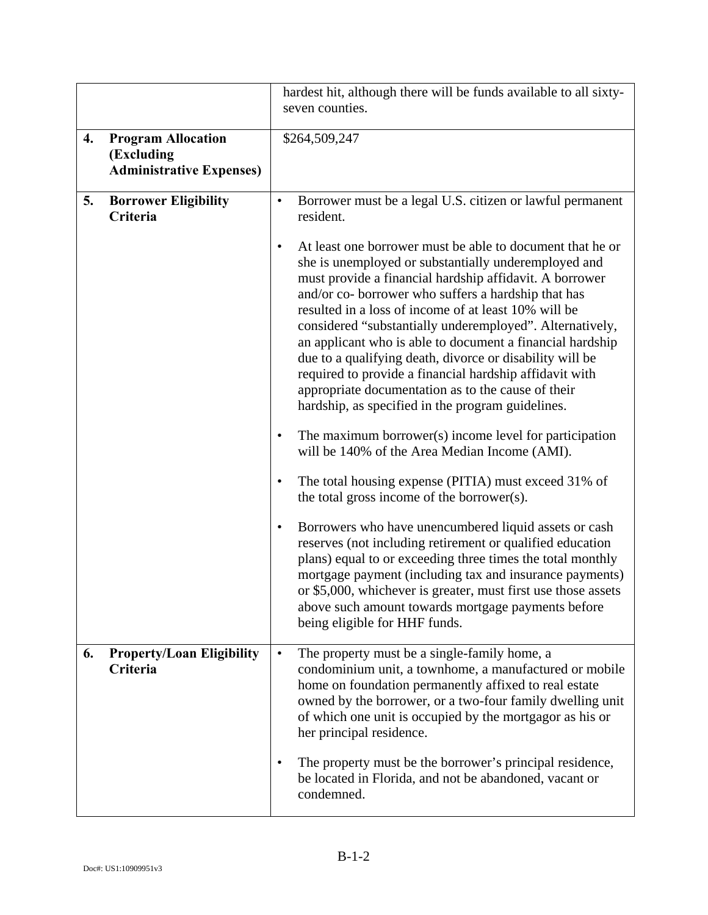|    |                                                                            | hardest hit, although there will be funds available to all sixty-<br>seven counties.                                                                                                                                                                                                                                                                                                                                                                                                                                                                                                                                                                                |
|----|----------------------------------------------------------------------------|---------------------------------------------------------------------------------------------------------------------------------------------------------------------------------------------------------------------------------------------------------------------------------------------------------------------------------------------------------------------------------------------------------------------------------------------------------------------------------------------------------------------------------------------------------------------------------------------------------------------------------------------------------------------|
| 4. | <b>Program Allocation</b><br>(Excluding<br><b>Administrative Expenses)</b> | \$264,509,247                                                                                                                                                                                                                                                                                                                                                                                                                                                                                                                                                                                                                                                       |
| 5. | <b>Borrower Eligibility</b><br>Criteria                                    | Borrower must be a legal U.S. citizen or lawful permanent<br>٠<br>resident.                                                                                                                                                                                                                                                                                                                                                                                                                                                                                                                                                                                         |
|    |                                                                            | At least one borrower must be able to document that he or<br>$\bullet$<br>she is unemployed or substantially underemployed and<br>must provide a financial hardship affidavit. A borrower<br>and/or co- borrower who suffers a hardship that has<br>resulted in a loss of income of at least 10% will be<br>considered "substantially underemployed". Alternatively,<br>an applicant who is able to document a financial hardship<br>due to a qualifying death, divorce or disability will be<br>required to provide a financial hardship affidavit with<br>appropriate documentation as to the cause of their<br>hardship, as specified in the program guidelines. |
|    |                                                                            | The maximum borrower(s) income level for participation<br>$\bullet$<br>will be 140% of the Area Median Income (AMI).                                                                                                                                                                                                                                                                                                                                                                                                                                                                                                                                                |
|    |                                                                            | The total housing expense (PITIA) must exceed 31% of<br>٠<br>the total gross income of the borrower(s).                                                                                                                                                                                                                                                                                                                                                                                                                                                                                                                                                             |
|    |                                                                            | Borrowers who have unencumbered liquid assets or cash<br>$\bullet$<br>reserves (not including retirement or qualified education<br>plans) equal to or exceeding three times the total monthly<br>mortgage payment (including tax and insurance payments)<br>or \$5,000, whichever is greater, must first use those assets<br>above such amount towards mortgage payments before<br>being eligible for HHF funds.                                                                                                                                                                                                                                                    |
| 6. | <b>Property/Loan Eligibility</b><br><b>Criteria</b>                        | The property must be a single-family home, a<br>$\bullet$<br>condominium unit, a townhome, a manufactured or mobile<br>home on foundation permanently affixed to real estate<br>owned by the borrower, or a two-four family dwelling unit<br>of which one unit is occupied by the mortgagor as his or<br>her principal residence.                                                                                                                                                                                                                                                                                                                                   |
|    |                                                                            | The property must be the borrower's principal residence,<br>$\bullet$<br>be located in Florida, and not be abandoned, vacant or<br>condemned.                                                                                                                                                                                                                                                                                                                                                                                                                                                                                                                       |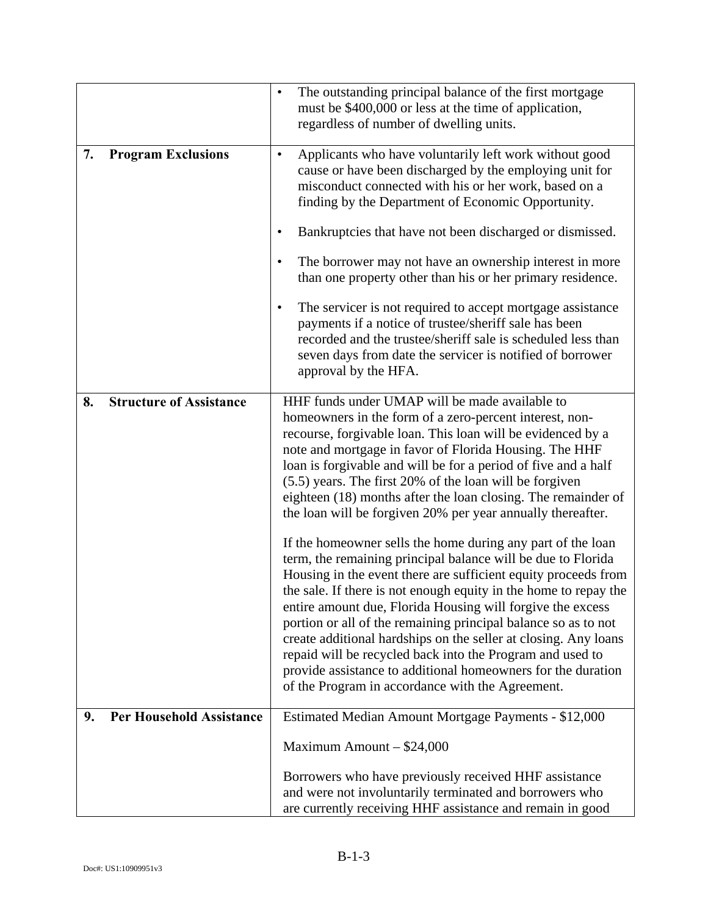|    |                                 | The outstanding principal balance of the first mortgage<br>$\bullet$<br>must be \$400,000 or less at the time of application,<br>regardless of number of dwelling units.                                                                                                                                                                                                                                                                                                                                                                                                                                                                              |
|----|---------------------------------|-------------------------------------------------------------------------------------------------------------------------------------------------------------------------------------------------------------------------------------------------------------------------------------------------------------------------------------------------------------------------------------------------------------------------------------------------------------------------------------------------------------------------------------------------------------------------------------------------------------------------------------------------------|
| 7. | <b>Program Exclusions</b>       | Applicants who have voluntarily left work without good<br>$\bullet$<br>cause or have been discharged by the employing unit for<br>misconduct connected with his or her work, based on a<br>finding by the Department of Economic Opportunity.<br>Bankruptcies that have not been discharged or dismissed.<br>٠                                                                                                                                                                                                                                                                                                                                        |
|    |                                 | The borrower may not have an ownership interest in more<br>٠<br>than one property other than his or her primary residence.                                                                                                                                                                                                                                                                                                                                                                                                                                                                                                                            |
|    |                                 | The servicer is not required to accept mortgage assistance<br>$\bullet$<br>payments if a notice of trustee/sheriff sale has been<br>recorded and the trustee/sheriff sale is scheduled less than<br>seven days from date the servicer is notified of borrower<br>approval by the HFA.                                                                                                                                                                                                                                                                                                                                                                 |
| 8. | <b>Structure of Assistance</b>  | HHF funds under UMAP will be made available to<br>homeowners in the form of a zero-percent interest, non-<br>recourse, forgivable loan. This loan will be evidenced by a<br>note and mortgage in favor of Florida Housing. The HHF<br>loan is forgivable and will be for a period of five and a half<br>(5.5) years. The first 20% of the loan will be forgiven<br>eighteen (18) months after the loan closing. The remainder of<br>the loan will be forgiven 20% per year annually thereafter.                                                                                                                                                       |
|    |                                 | If the homeowner sells the home during any part of the loan<br>term, the remaining principal balance will be due to Florida<br>Housing in the event there are sufficient equity proceeds from<br>the sale. If there is not enough equity in the home to repay the<br>entire amount due, Florida Housing will forgive the excess<br>portion or all of the remaining principal balance so as to not<br>create additional hardships on the seller at closing. Any loans<br>repaid will be recycled back into the Program and used to<br>provide assistance to additional homeowners for the duration<br>of the Program in accordance with the Agreement. |
| 9. | <b>Per Household Assistance</b> | Estimated Median Amount Mortgage Payments - \$12,000                                                                                                                                                                                                                                                                                                                                                                                                                                                                                                                                                                                                  |
|    |                                 | Maximum Amount $-$ \$24,000                                                                                                                                                                                                                                                                                                                                                                                                                                                                                                                                                                                                                           |
|    |                                 | Borrowers who have previously received HHF assistance<br>and were not involuntarily terminated and borrowers who<br>are currently receiving HHF assistance and remain in good                                                                                                                                                                                                                                                                                                                                                                                                                                                                         |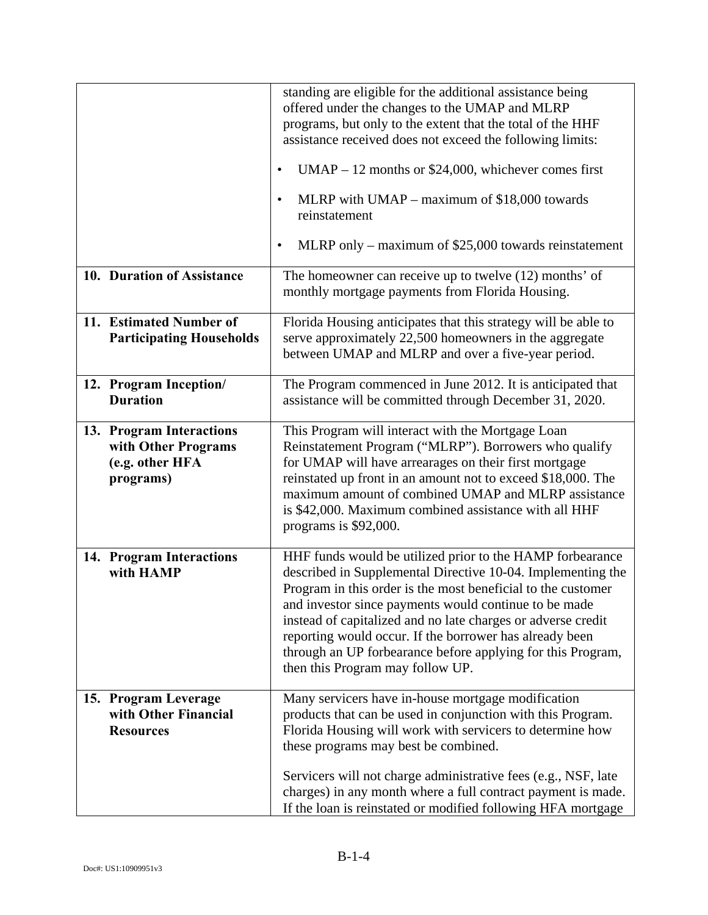|                                                                                 | standing are eligible for the additional assistance being<br>offered under the changes to the UMAP and MLRP<br>programs, but only to the extent that the total of the HHF<br>assistance received does not exceed the following limits:<br>$UMAP - 12$ months or \$24,000, whichever comes first<br>٠<br>MLRP with $UMAP - maximum$ of \$18,000 towards<br>$\bullet$<br>reinstatement<br>MLRP only – maximum of $$25,000$ towards reinstatement<br>$\bullet$                     |
|---------------------------------------------------------------------------------|---------------------------------------------------------------------------------------------------------------------------------------------------------------------------------------------------------------------------------------------------------------------------------------------------------------------------------------------------------------------------------------------------------------------------------------------------------------------------------|
| 10. Duration of Assistance                                                      | The homeowner can receive up to twelve $(12)$ months' of<br>monthly mortgage payments from Florida Housing.                                                                                                                                                                                                                                                                                                                                                                     |
| 11. Estimated Number of<br><b>Participating Households</b>                      | Florida Housing anticipates that this strategy will be able to<br>serve approximately 22,500 homeowners in the aggregate<br>between UMAP and MLRP and over a five-year period.                                                                                                                                                                                                                                                                                                  |
| 12. Program Inception/<br><b>Duration</b>                                       | The Program commenced in June 2012. It is anticipated that<br>assistance will be committed through December 31, 2020.                                                                                                                                                                                                                                                                                                                                                           |
| 13. Program Interactions<br>with Other Programs<br>(e.g. other HFA<br>programs) | This Program will interact with the Mortgage Loan<br>Reinstatement Program ("MLRP"). Borrowers who qualify<br>for UMAP will have arrearages on their first mortgage<br>reinstated up front in an amount not to exceed \$18,000. The<br>maximum amount of combined UMAP and MLRP assistance<br>is \$42,000. Maximum combined assistance with all HHF<br>programs is \$92,000.                                                                                                    |
| 14. Program Interactions<br>with HAMP                                           | HHF funds would be utilized prior to the HAMP forbearance<br>described in Supplemental Directive 10-04. Implementing the<br>Program in this order is the most beneficial to the customer<br>and investor since payments would continue to be made<br>instead of capitalized and no late charges or adverse credit<br>reporting would occur. If the borrower has already been<br>through an UP forbearance before applying for this Program,<br>then this Program may follow UP. |
| 15. Program Leverage<br>with Other Financial<br><b>Resources</b>                | Many servicers have in-house mortgage modification<br>products that can be used in conjunction with this Program.<br>Florida Housing will work with servicers to determine how<br>these programs may best be combined.<br>Servicers will not charge administrative fees (e.g., NSF, late                                                                                                                                                                                        |
|                                                                                 | charges) in any month where a full contract payment is made.<br>If the loan is reinstated or modified following HFA mortgage                                                                                                                                                                                                                                                                                                                                                    |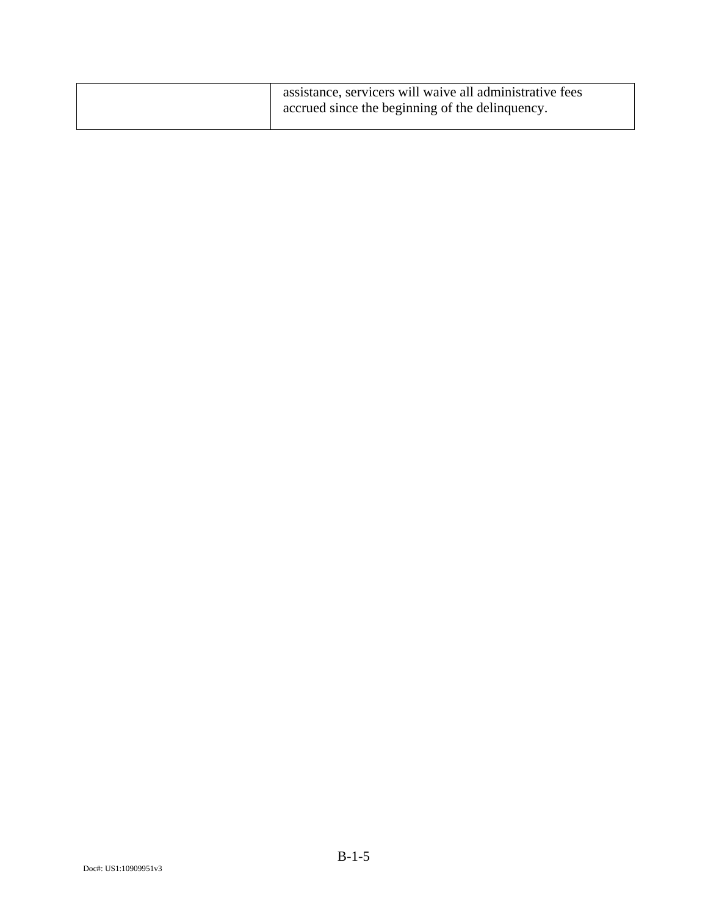| assistance, servicers will waive all administrative fees |
|----------------------------------------------------------|
| accrued since the beginning of the delinquency.          |
|                                                          |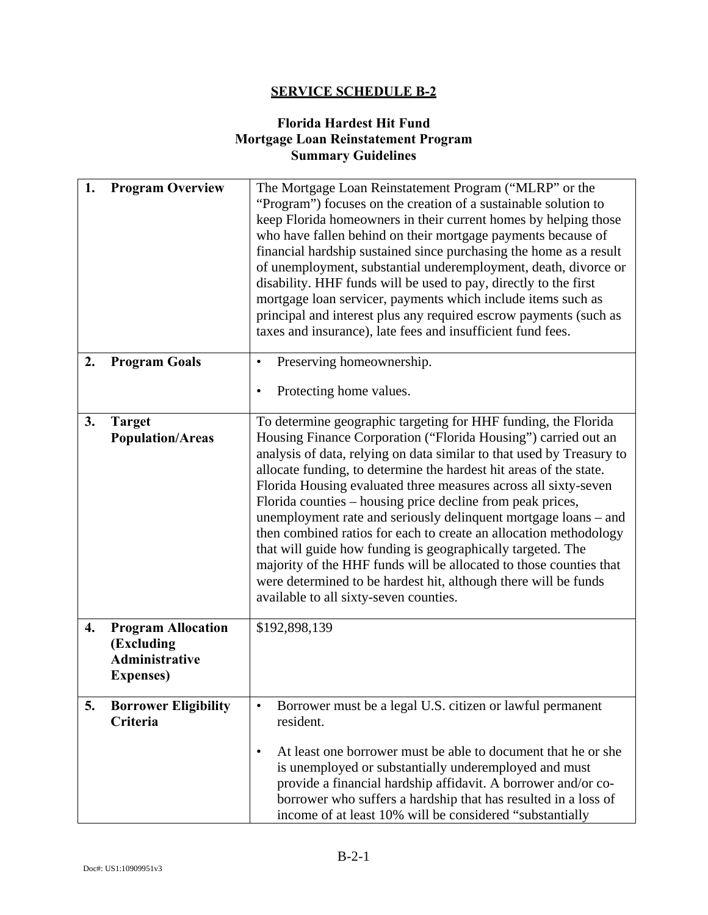## **Florida Hardest Hit Fund Mortgage Loan Reinstatement Program Summary Guidelines**

| 1. | <b>Program Overview</b>                                                               | The Mortgage Loan Reinstatement Program ("MLRP" or the<br>"Program") focuses on the creation of a sustainable solution to<br>keep Florida homeowners in their current homes by helping those<br>who have fallen behind on their mortgage payments because of<br>financial hardship sustained since purchasing the home as a result<br>of unemployment, substantial underemployment, death, divorce or<br>disability. HHF funds will be used to pay, directly to the first<br>mortgage loan servicer, payments which include items such as<br>principal and interest plus any required escrow payments (such as<br>taxes and insurance), late fees and insufficient fund fees.                                                                                                                              |
|----|---------------------------------------------------------------------------------------|------------------------------------------------------------------------------------------------------------------------------------------------------------------------------------------------------------------------------------------------------------------------------------------------------------------------------------------------------------------------------------------------------------------------------------------------------------------------------------------------------------------------------------------------------------------------------------------------------------------------------------------------------------------------------------------------------------------------------------------------------------------------------------------------------------|
| 2. | <b>Program Goals</b>                                                                  | Preserving homeownership.<br>$\bullet$<br>Protecting home values.<br>$\bullet$                                                                                                                                                                                                                                                                                                                                                                                                                                                                                                                                                                                                                                                                                                                             |
| 3. | <b>Target</b><br><b>Population/Areas</b>                                              | To determine geographic targeting for HHF funding, the Florida<br>Housing Finance Corporation ("Florida Housing") carried out an<br>analysis of data, relying on data similar to that used by Treasury to<br>allocate funding, to determine the hardest hit areas of the state.<br>Florida Housing evaluated three measures across all sixty-seven<br>Florida counties – housing price decline from peak prices,<br>unemployment rate and seriously delinquent mortgage loans – and<br>then combined ratios for each to create an allocation methodology<br>that will guide how funding is geographically targeted. The<br>majority of the HHF funds will be allocated to those counties that<br>were determined to be hardest hit, although there will be funds<br>available to all sixty-seven counties. |
| 4. | <b>Program Allocation</b><br>(Excluding<br><b>Administrative</b><br><b>Expenses</b> ) | \$192,898,139                                                                                                                                                                                                                                                                                                                                                                                                                                                                                                                                                                                                                                                                                                                                                                                              |
| 5. | <b>Borrower Eligibility</b><br>Criteria                                               | Borrower must be a legal U.S. citizen or lawful permanent<br>$\bullet$<br>resident.<br>At least one borrower must be able to document that he or she<br>$\bullet$<br>is unemployed or substantially underemployed and must<br>provide a financial hardship affidavit. A borrower and/or co-<br>borrower who suffers a hardship that has resulted in a loss of<br>income of at least 10% will be considered "substantially                                                                                                                                                                                                                                                                                                                                                                                  |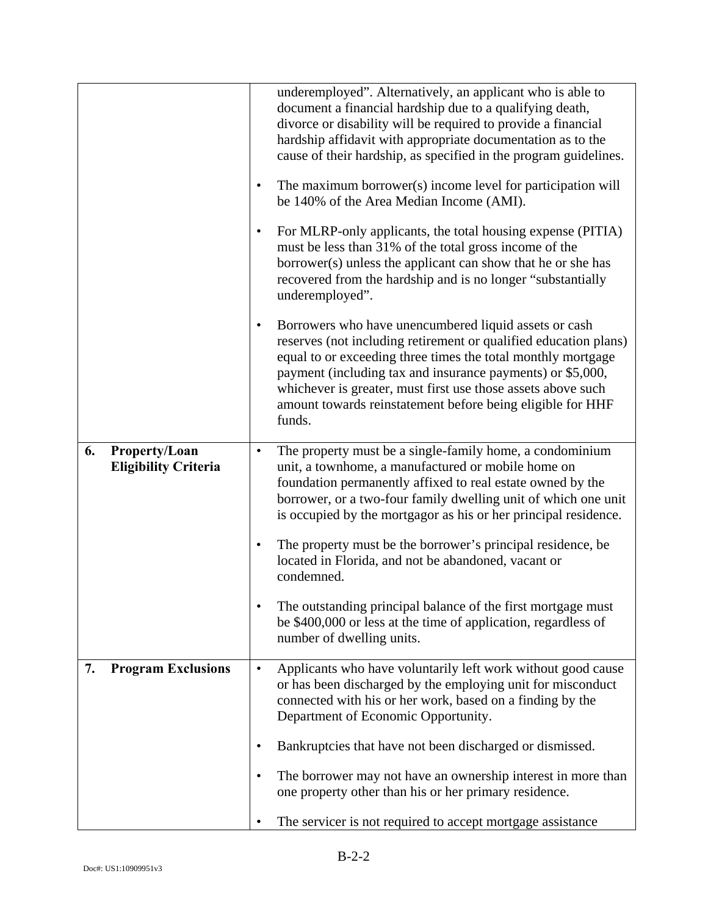|                                                    | ٠<br>$\bullet$                         | underemployed". Alternatively, an applicant who is able to<br>document a financial hardship due to a qualifying death,<br>divorce or disability will be required to provide a financial<br>hardship affidavit with appropriate documentation as to the<br>cause of their hardship, as specified in the program guidelines.<br>The maximum borrower(s) income level for participation will<br>be 140% of the Area Median Income (AMI).<br>For MLRP-only applicants, the total housing expense (PITIA) |
|----------------------------------------------------|----------------------------------------|------------------------------------------------------------------------------------------------------------------------------------------------------------------------------------------------------------------------------------------------------------------------------------------------------------------------------------------------------------------------------------------------------------------------------------------------------------------------------------------------------|
|                                                    |                                        | must be less than 31% of the total gross income of the<br>borrower(s) unless the applicant can show that he or she has<br>recovered from the hardship and is no longer "substantially<br>underemployed".                                                                                                                                                                                                                                                                                             |
|                                                    | $\bullet$                              | Borrowers who have unencumbered liquid assets or cash<br>reserves (not including retirement or qualified education plans)<br>equal to or exceeding three times the total monthly mortgage<br>payment (including tax and insurance payments) or \$5,000,<br>whichever is greater, must first use those assets above such<br>amount towards reinstatement before being eligible for HHF<br>funds.                                                                                                      |
| 6.<br>Property/Loan<br><b>Eligibility Criteria</b> | $\bullet$                              | The property must be a single-family home, a condominium<br>unit, a townhome, a manufactured or mobile home on<br>foundation permanently affixed to real estate owned by the<br>borrower, or a two-four family dwelling unit of which one unit<br>is occupied by the mortgagor as his or her principal residence.                                                                                                                                                                                    |
|                                                    |                                        | The property must be the borrower's principal residence, be<br>located in Florida, and not be abandoned, vacant or<br>condemned.                                                                                                                                                                                                                                                                                                                                                                     |
|                                                    |                                        | The outstanding principal balance of the first mortgage must<br>be \$400,000 or less at the time of application, regardless of<br>number of dwelling units.                                                                                                                                                                                                                                                                                                                                          |
| 7.                                                 | <b>Program Exclusions</b><br>$\bullet$ | Applicants who have voluntarily left work without good cause<br>or has been discharged by the employing unit for misconduct<br>connected with his or her work, based on a finding by the<br>Department of Economic Opportunity.                                                                                                                                                                                                                                                                      |
|                                                    |                                        | Bankruptcies that have not been discharged or dismissed.                                                                                                                                                                                                                                                                                                                                                                                                                                             |
|                                                    |                                        | The borrower may not have an ownership interest in more than<br>one property other than his or her primary residence.                                                                                                                                                                                                                                                                                                                                                                                |
|                                                    |                                        | The servicer is not required to accept mortgage assistance                                                                                                                                                                                                                                                                                                                                                                                                                                           |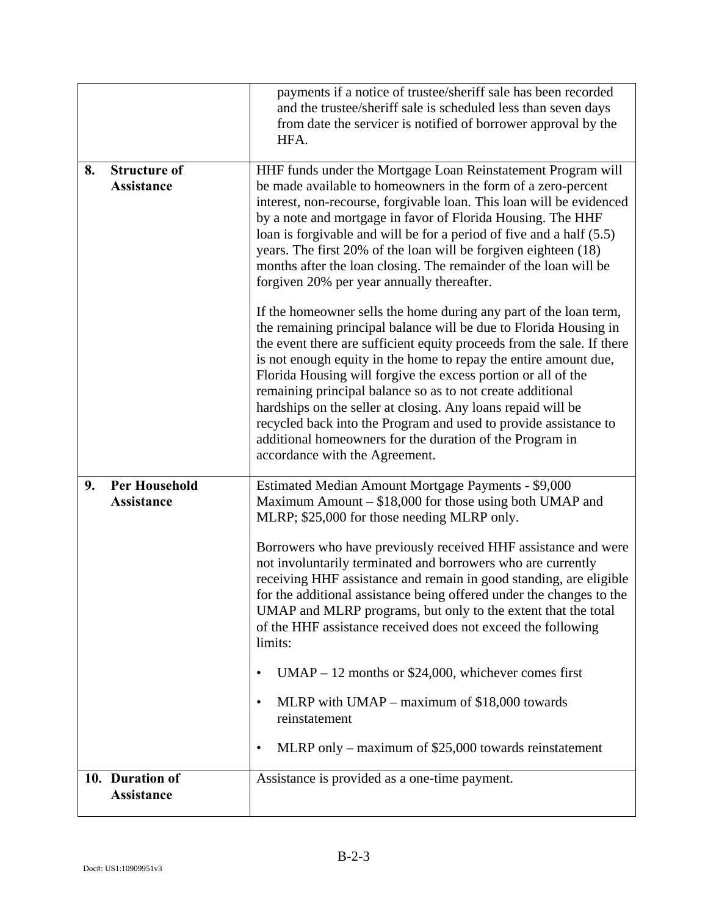|    |                                           | payments if a notice of trustee/sheriff sale has been recorded<br>and the trustee/sheriff sale is scheduled less than seven days<br>from date the servicer is notified of borrower approval by the<br>HFA.                                                                                                                                                                                                                                                                                                                                                                                                                                                                                                                                                                                                              |
|----|-------------------------------------------|-------------------------------------------------------------------------------------------------------------------------------------------------------------------------------------------------------------------------------------------------------------------------------------------------------------------------------------------------------------------------------------------------------------------------------------------------------------------------------------------------------------------------------------------------------------------------------------------------------------------------------------------------------------------------------------------------------------------------------------------------------------------------------------------------------------------------|
| 8. | <b>Structure of</b><br><b>Assistance</b>  | HHF funds under the Mortgage Loan Reinstatement Program will<br>be made available to homeowners in the form of a zero-percent<br>interest, non-recourse, forgivable loan. This loan will be evidenced<br>by a note and mortgage in favor of Florida Housing. The HHF<br>loan is for givable and will be for a period of five and a half (5.5)<br>years. The first 20% of the loan will be forgiven eighteen (18)<br>months after the loan closing. The remainder of the loan will be<br>forgiven 20% per year annually thereafter.<br>If the homeowner sells the home during any part of the loan term,<br>the remaining principal balance will be due to Florida Housing in<br>the event there are sufficient equity proceeds from the sale. If there                                                                  |
|    |                                           | is not enough equity in the home to repay the entire amount due,<br>Florida Housing will forgive the excess portion or all of the<br>remaining principal balance so as to not create additional<br>hardships on the seller at closing. Any loans repaid will be<br>recycled back into the Program and used to provide assistance to<br>additional homeowners for the duration of the Program in<br>accordance with the Agreement.                                                                                                                                                                                                                                                                                                                                                                                       |
| 9. | <b>Per Household</b><br><b>Assistance</b> | Estimated Median Amount Mortgage Payments - \$9,000<br>Maximum Amount $- $18,000$ for those using both UMAP and<br>MLRP; \$25,000 for those needing MLRP only.<br>Borrowers who have previously received HHF assistance and were<br>not involuntarily terminated and borrowers who are currently<br>receiving HHF assistance and remain in good standing, are eligible<br>for the additional assistance being offered under the changes to the<br>UMAP and MLRP programs, but only to the extent that the total<br>of the HHF assistance received does not exceed the following<br>limits:<br>$UMAP - 12$ months or \$24,000, whichever comes first<br>$\bullet$<br>MLRP with $UMAP - maximum$ of \$18,000 towards<br>$\bullet$<br>reinstatement<br>MLRP only – maximum of $$25,000$ towards reinstatement<br>$\bullet$ |
|    | 10. Duration of<br><b>Assistance</b>      | Assistance is provided as a one-time payment.                                                                                                                                                                                                                                                                                                                                                                                                                                                                                                                                                                                                                                                                                                                                                                           |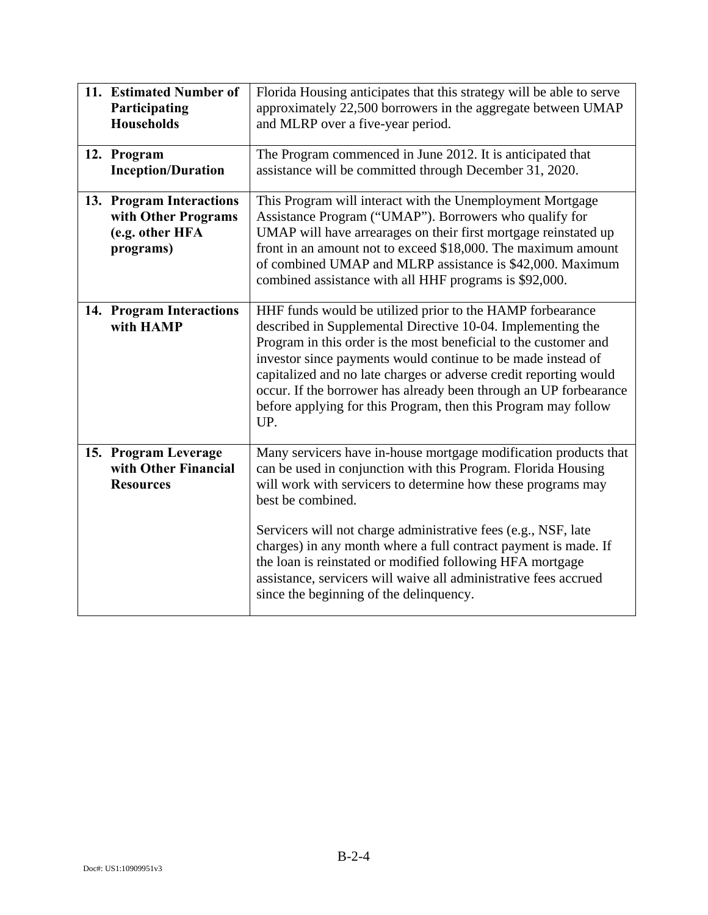| 11. Estimated Number of<br>Participating<br><b>Households</b>                   | Florida Housing anticipates that this strategy will be able to serve<br>approximately 22,500 borrowers in the aggregate between UMAP<br>and MLRP over a five-year period.                                                                                                                                                                                                                                                                                                                                                               |
|---------------------------------------------------------------------------------|-----------------------------------------------------------------------------------------------------------------------------------------------------------------------------------------------------------------------------------------------------------------------------------------------------------------------------------------------------------------------------------------------------------------------------------------------------------------------------------------------------------------------------------------|
| 12. Program<br><b>Inception/Duration</b>                                        | The Program commenced in June 2012. It is anticipated that<br>assistance will be committed through December 31, 2020.                                                                                                                                                                                                                                                                                                                                                                                                                   |
| 13. Program Interactions<br>with Other Programs<br>(e.g. other HFA<br>programs) | This Program will interact with the Unemployment Mortgage<br>Assistance Program ("UMAP"). Borrowers who qualify for<br>UMAP will have arrearages on their first mortgage reinstated up<br>front in an amount not to exceed \$18,000. The maximum amount<br>of combined UMAP and MLRP assistance is \$42,000. Maximum<br>combined assistance with all HHF programs is \$92,000.                                                                                                                                                          |
| 14. Program Interactions<br>with HAMP                                           | HHF funds would be utilized prior to the HAMP forbearance<br>described in Supplemental Directive 10-04. Implementing the<br>Program in this order is the most beneficial to the customer and<br>investor since payments would continue to be made instead of<br>capitalized and no late charges or adverse credit reporting would<br>occur. If the borrower has already been through an UP forbearance<br>before applying for this Program, then this Program may follow<br>UP.                                                         |
| 15. Program Leverage<br>with Other Financial<br><b>Resources</b>                | Many servicers have in-house mortgage modification products that<br>can be used in conjunction with this Program. Florida Housing<br>will work with servicers to determine how these programs may<br>best be combined.<br>Servicers will not charge administrative fees (e.g., NSF, late<br>charges) in any month where a full contract payment is made. If<br>the loan is reinstated or modified following HFA mortgage<br>assistance, servicers will waive all administrative fees accrued<br>since the beginning of the delinquency. |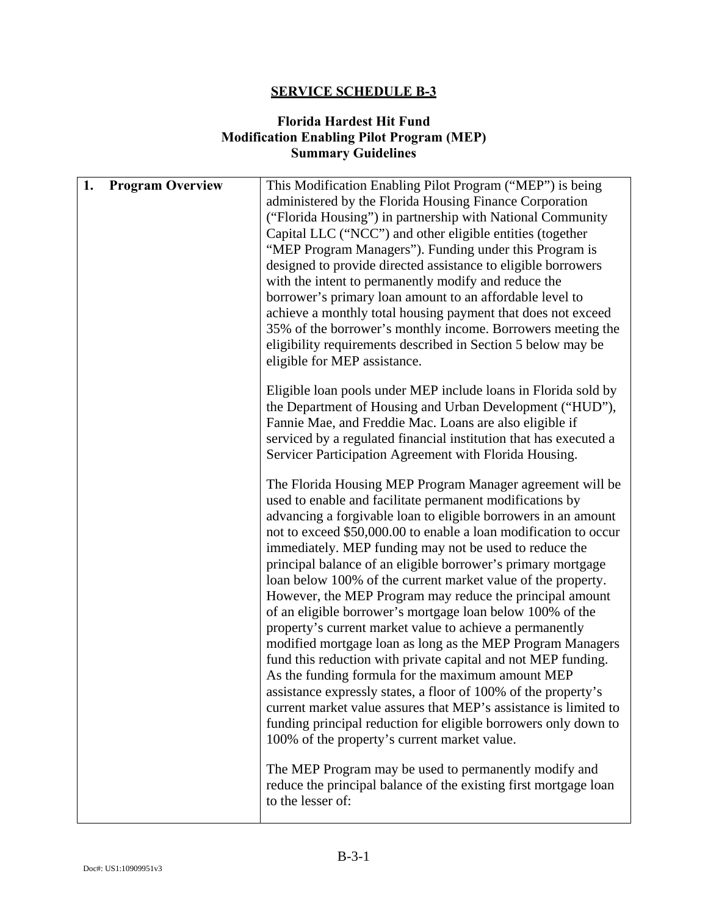### **Florida Hardest Hit Fund Modification Enabling Pilot Program (MEP) Summary Guidelines**

| 1. | <b>Program Overview</b> | This Modification Enabling Pilot Program ("MEP") is being<br>administered by the Florida Housing Finance Corporation<br>("Florida Housing") in partnership with National Community<br>Capital LLC ("NCC") and other eligible entities (together<br>"MEP Program Managers"). Funding under this Program is<br>designed to provide directed assistance to eligible borrowers<br>with the intent to permanently modify and reduce the<br>borrower's primary loan amount to an affordable level to<br>achieve a monthly total housing payment that does not exceed<br>35% of the borrower's monthly income. Borrowers meeting the<br>eligibility requirements described in Section 5 below may be<br>eligible for MEP assistance.                                                                                                                                                                                                                                                                                                                                                           |
|----|-------------------------|-----------------------------------------------------------------------------------------------------------------------------------------------------------------------------------------------------------------------------------------------------------------------------------------------------------------------------------------------------------------------------------------------------------------------------------------------------------------------------------------------------------------------------------------------------------------------------------------------------------------------------------------------------------------------------------------------------------------------------------------------------------------------------------------------------------------------------------------------------------------------------------------------------------------------------------------------------------------------------------------------------------------------------------------------------------------------------------------|
|    |                         | Eligible loan pools under MEP include loans in Florida sold by<br>the Department of Housing and Urban Development ("HUD"),<br>Fannie Mae, and Freddie Mac. Loans are also eligible if<br>serviced by a regulated financial institution that has executed a<br>Servicer Participation Agreement with Florida Housing.                                                                                                                                                                                                                                                                                                                                                                                                                                                                                                                                                                                                                                                                                                                                                                    |
|    |                         | The Florida Housing MEP Program Manager agreement will be<br>used to enable and facilitate permanent modifications by<br>advancing a forgivable loan to eligible borrowers in an amount<br>not to exceed \$50,000.00 to enable a loan modification to occur<br>immediately. MEP funding may not be used to reduce the<br>principal balance of an eligible borrower's primary mortgage<br>loan below 100% of the current market value of the property.<br>However, the MEP Program may reduce the principal amount<br>of an eligible borrower's mortgage loan below 100% of the<br>property's current market value to achieve a permanently<br>modified mortgage loan as long as the MEP Program Managers<br>fund this reduction with private capital and not MEP funding.<br>As the funding formula for the maximum amount MEP<br>assistance expressly states, a floor of 100% of the property's<br>current market value assures that MEP's assistance is limited to<br>funding principal reduction for eligible borrowers only down to<br>100% of the property's current market value. |
|    |                         | The MEP Program may be used to permanently modify and<br>reduce the principal balance of the existing first mortgage loan<br>to the lesser of:                                                                                                                                                                                                                                                                                                                                                                                                                                                                                                                                                                                                                                                                                                                                                                                                                                                                                                                                          |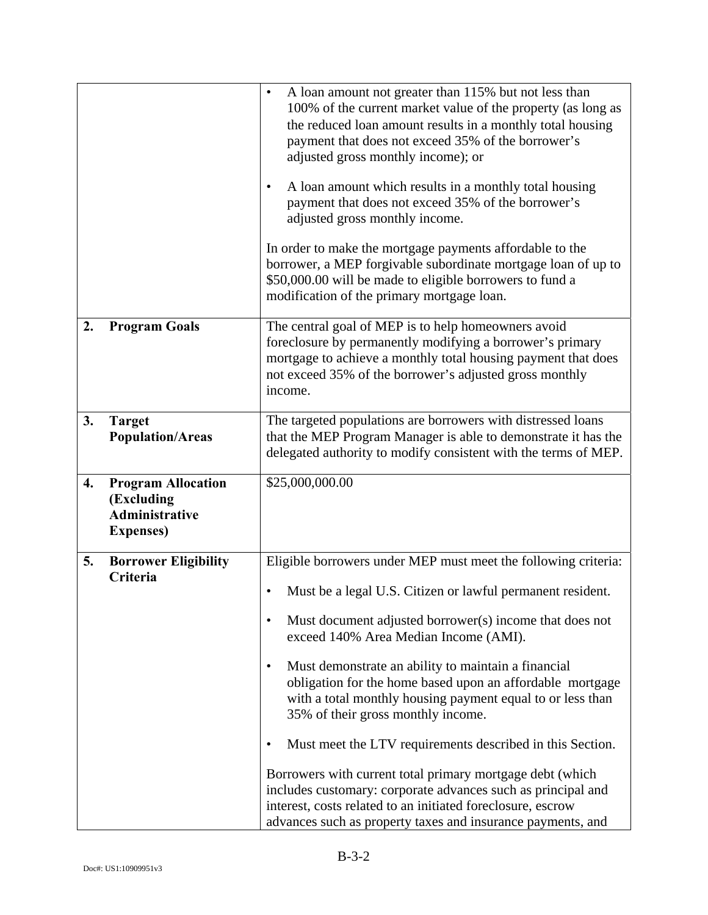|    |                                                                                       | A loan amount not greater than 115% but not less than<br>$\bullet$<br>100% of the current market value of the property (as long as<br>the reduced loan amount results in a monthly total housing<br>payment that does not exceed 35% of the borrower's<br>adjusted gross monthly income); or<br>A loan amount which results in a monthly total housing<br>$\bullet$<br>payment that does not exceed 35% of the borrower's<br>adjusted gross monthly income.<br>In order to make the mortgage payments affordable to the<br>borrower, a MEP forgivable subordinate mortgage loan of up to<br>\$50,000.00 will be made to eligible borrowers to fund a<br>modification of the primary mortgage loan.                                                                                    |
|----|---------------------------------------------------------------------------------------|---------------------------------------------------------------------------------------------------------------------------------------------------------------------------------------------------------------------------------------------------------------------------------------------------------------------------------------------------------------------------------------------------------------------------------------------------------------------------------------------------------------------------------------------------------------------------------------------------------------------------------------------------------------------------------------------------------------------------------------------------------------------------------------|
| 2. | <b>Program Goals</b>                                                                  | The central goal of MEP is to help homeowners avoid<br>foreclosure by permanently modifying a borrower's primary<br>mortgage to achieve a monthly total housing payment that does<br>not exceed 35% of the borrower's adjusted gross monthly<br>income.                                                                                                                                                                                                                                                                                                                                                                                                                                                                                                                               |
| 3. | <b>Target</b><br><b>Population/Areas</b>                                              | The targeted populations are borrowers with distressed loans<br>that the MEP Program Manager is able to demonstrate it has the<br>delegated authority to modify consistent with the terms of MEP.                                                                                                                                                                                                                                                                                                                                                                                                                                                                                                                                                                                     |
| 4. | <b>Program Allocation</b><br>(Excluding<br><b>Administrative</b><br><b>Expenses</b> ) | \$25,000,000.00                                                                                                                                                                                                                                                                                                                                                                                                                                                                                                                                                                                                                                                                                                                                                                       |
| 5. | <b>Borrower Eligibility</b><br>Criteria                                               | Eligible borrowers under MEP must meet the following criteria:<br>Must be a legal U.S. Citizen or lawful permanent resident.<br>Must document adjusted borrower(s) income that does not<br>exceed 140% Area Median Income (AMI).<br>Must demonstrate an ability to maintain a financial<br>٠<br>obligation for the home based upon an affordable mortgage<br>with a total monthly housing payment equal to or less than<br>35% of their gross monthly income.<br>Must meet the LTV requirements described in this Section.<br>Borrowers with current total primary mortgage debt (which<br>includes customary: corporate advances such as principal and<br>interest, costs related to an initiated foreclosure, escrow<br>advances such as property taxes and insurance payments, and |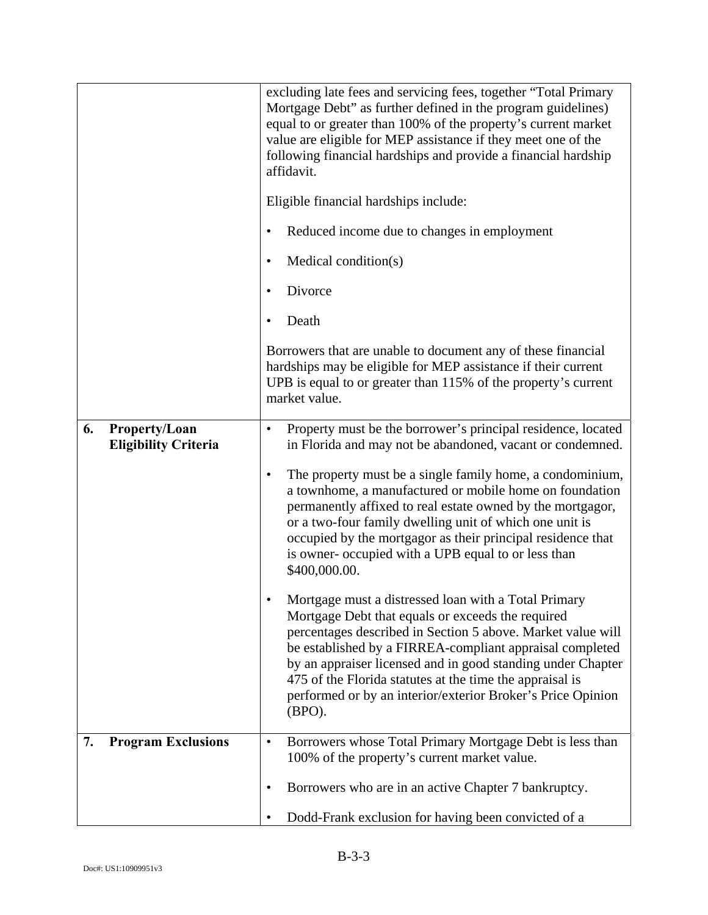|    |                                              | excluding late fees and servicing fees, together "Total Primary<br>Mortgage Debt" as further defined in the program guidelines)<br>equal to or greater than 100% of the property's current market<br>value are eligible for MEP assistance if they meet one of the<br>following financial hardships and provide a financial hardship<br>affidavit.                                                                                          |
|----|----------------------------------------------|---------------------------------------------------------------------------------------------------------------------------------------------------------------------------------------------------------------------------------------------------------------------------------------------------------------------------------------------------------------------------------------------------------------------------------------------|
|    |                                              | Eligible financial hardships include:                                                                                                                                                                                                                                                                                                                                                                                                       |
|    |                                              | Reduced income due to changes in employment                                                                                                                                                                                                                                                                                                                                                                                                 |
|    |                                              | Medical condition(s)                                                                                                                                                                                                                                                                                                                                                                                                                        |
|    |                                              | Divorce                                                                                                                                                                                                                                                                                                                                                                                                                                     |
|    |                                              | Death                                                                                                                                                                                                                                                                                                                                                                                                                                       |
|    |                                              | Borrowers that are unable to document any of these financial<br>hardships may be eligible for MEP assistance if their current<br>UPB is equal to or greater than 115% of the property's current<br>market value.                                                                                                                                                                                                                            |
| 6. | Property/Loan<br><b>Eligibility Criteria</b> | Property must be the borrower's principal residence, located<br>$\bullet$<br>in Florida and may not be abandoned, vacant or condemned.                                                                                                                                                                                                                                                                                                      |
|    |                                              | The property must be a single family home, a condominium,<br>$\bullet$<br>a townhome, a manufactured or mobile home on foundation<br>permanently affixed to real estate owned by the mortgagor,<br>or a two-four family dwelling unit of which one unit is<br>occupied by the mortgagor as their principal residence that<br>is owner- occupied with a UPB equal to or less than<br>\$400,000.00.                                           |
|    |                                              | Mortgage must a distressed loan with a Total Primary<br>Mortgage Debt that equals or exceeds the required<br>percentages described in Section 5 above. Market value will<br>be established by a FIRREA-compliant appraisal completed<br>by an appraiser licensed and in good standing under Chapter<br>475 of the Florida statutes at the time the appraisal is<br>performed or by an interior/exterior Broker's Price Opinion<br>$(BPO)$ . |
| 7. | <b>Program Exclusions</b>                    | Borrowers whose Total Primary Mortgage Debt is less than<br>$\bullet$<br>100% of the property's current market value.                                                                                                                                                                                                                                                                                                                       |
|    |                                              | Borrowers who are in an active Chapter 7 bankruptcy.<br>٠                                                                                                                                                                                                                                                                                                                                                                                   |
|    |                                              | Dodd-Frank exclusion for having been convicted of a                                                                                                                                                                                                                                                                                                                                                                                         |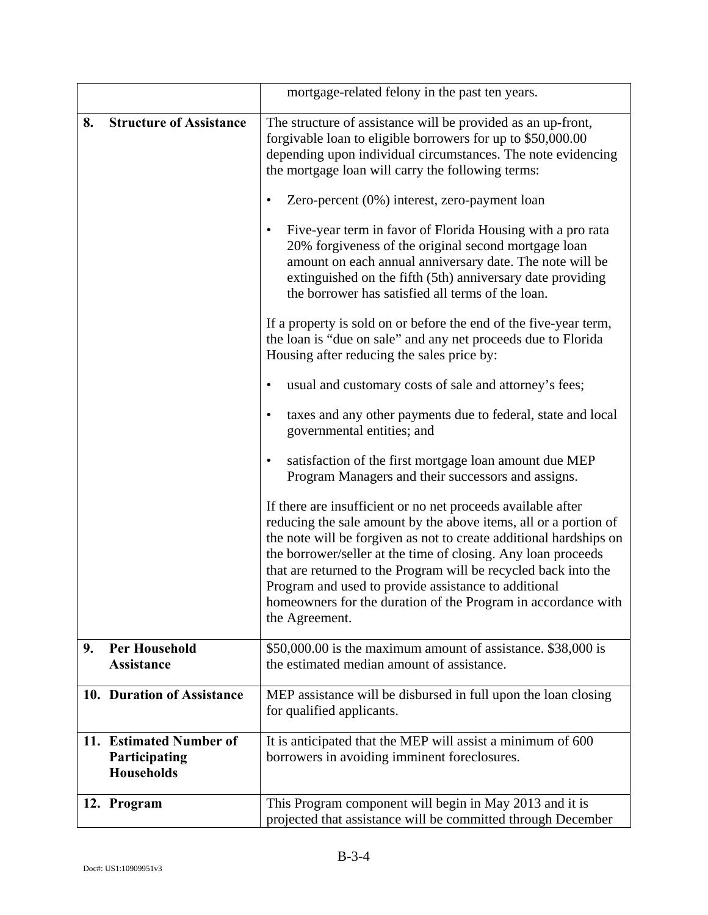|     |                                                                  | mortgage-related felony in the past ten years.                                                                                                                                                                                                                                                                                                                                                                                                                                        |
|-----|------------------------------------------------------------------|---------------------------------------------------------------------------------------------------------------------------------------------------------------------------------------------------------------------------------------------------------------------------------------------------------------------------------------------------------------------------------------------------------------------------------------------------------------------------------------|
| 8.  | <b>Structure of Assistance</b>                                   | The structure of assistance will be provided as an up-front,<br>forgivable loan to eligible borrowers for up to \$50,000.00<br>depending upon individual circumstances. The note evidencing<br>the mortgage loan will carry the following terms:                                                                                                                                                                                                                                      |
|     |                                                                  | Zero-percent (0%) interest, zero-payment loan                                                                                                                                                                                                                                                                                                                                                                                                                                         |
|     |                                                                  | Five-year term in favor of Florida Housing with a pro rata<br>20% forgiveness of the original second mortgage loan<br>amount on each annual anniversary date. The note will be<br>extinguished on the fifth (5th) anniversary date providing<br>the borrower has satisfied all terms of the loan.                                                                                                                                                                                     |
|     |                                                                  | If a property is sold on or before the end of the five-year term,<br>the loan is "due on sale" and any net proceeds due to Florida<br>Housing after reducing the sales price by:                                                                                                                                                                                                                                                                                                      |
|     |                                                                  | usual and customary costs of sale and attorney's fees;                                                                                                                                                                                                                                                                                                                                                                                                                                |
|     |                                                                  | taxes and any other payments due to federal, state and local<br>٠<br>governmental entities; and                                                                                                                                                                                                                                                                                                                                                                                       |
|     |                                                                  | satisfaction of the first mortgage loan amount due MEP<br>$\bullet$<br>Program Managers and their successors and assigns.                                                                                                                                                                                                                                                                                                                                                             |
|     |                                                                  | If there are insufficient or no net proceeds available after<br>reducing the sale amount by the above items, all or a portion of<br>the note will be forgiven as not to create additional hardships on<br>the borrower/seller at the time of closing. Any loan proceeds<br>that are returned to the Program will be recycled back into the<br>Program and used to provide assistance to additional<br>homeowners for the duration of the Program in accordance with<br>the Agreement. |
| 9.  | <b>Per Household</b><br><b>Assistance</b>                        | \$50,000.00 is the maximum amount of assistance. \$38,000 is<br>the estimated median amount of assistance.                                                                                                                                                                                                                                                                                                                                                                            |
|     |                                                                  |                                                                                                                                                                                                                                                                                                                                                                                                                                                                                       |
|     | 10. Duration of Assistance                                       | MEP assistance will be disbursed in full upon the loan closing<br>for qualified applicants.                                                                                                                                                                                                                                                                                                                                                                                           |
| 11. | <b>Estimated Number of</b><br>Participating<br><b>Households</b> | It is anticipated that the MEP will assist a minimum of 600<br>borrowers in avoiding imminent foreclosures.                                                                                                                                                                                                                                                                                                                                                                           |
|     | 12. Program                                                      | This Program component will begin in May 2013 and it is<br>projected that assistance will be committed through December                                                                                                                                                                                                                                                                                                                                                               |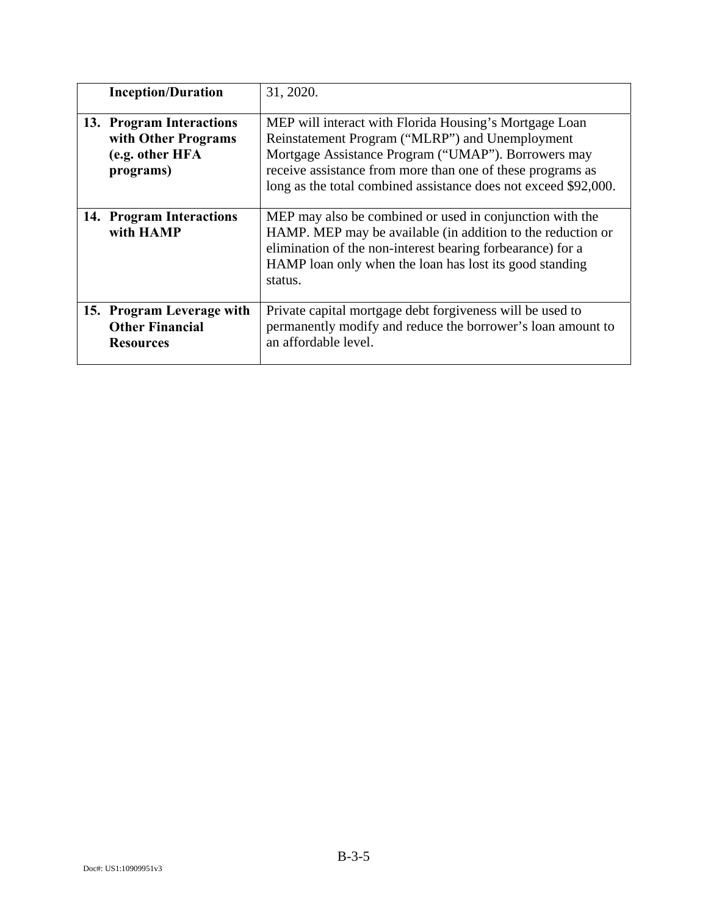| <b>Inception/Duration</b>                                                       | 31, 2020.                                                                                                                                                                                                                                                                                         |
|---------------------------------------------------------------------------------|---------------------------------------------------------------------------------------------------------------------------------------------------------------------------------------------------------------------------------------------------------------------------------------------------|
| 13. Program Interactions<br>with Other Programs<br>(e.g. other HFA<br>programs) | MEP will interact with Florida Housing's Mortgage Loan<br>Reinstatement Program ("MLRP") and Unemployment<br>Mortgage Assistance Program ("UMAP"). Borrowers may<br>receive assistance from more than one of these programs as<br>long as the total combined assistance does not exceed \$92,000. |
| 14. Program Interactions<br>with HAMP                                           | MEP may also be combined or used in conjunction with the<br>HAMP. MEP may be available (in addition to the reduction or<br>elimination of the non-interest bearing forbearance) for a<br>HAMP loan only when the loan has lost its good standing<br>status.                                       |
| 15. Program Leverage with<br><b>Other Financial</b><br><b>Resources</b>         | Private capital mortgage debt for giveness will be used to<br>permanently modify and reduce the borrower's loan amount to<br>an affordable level.                                                                                                                                                 |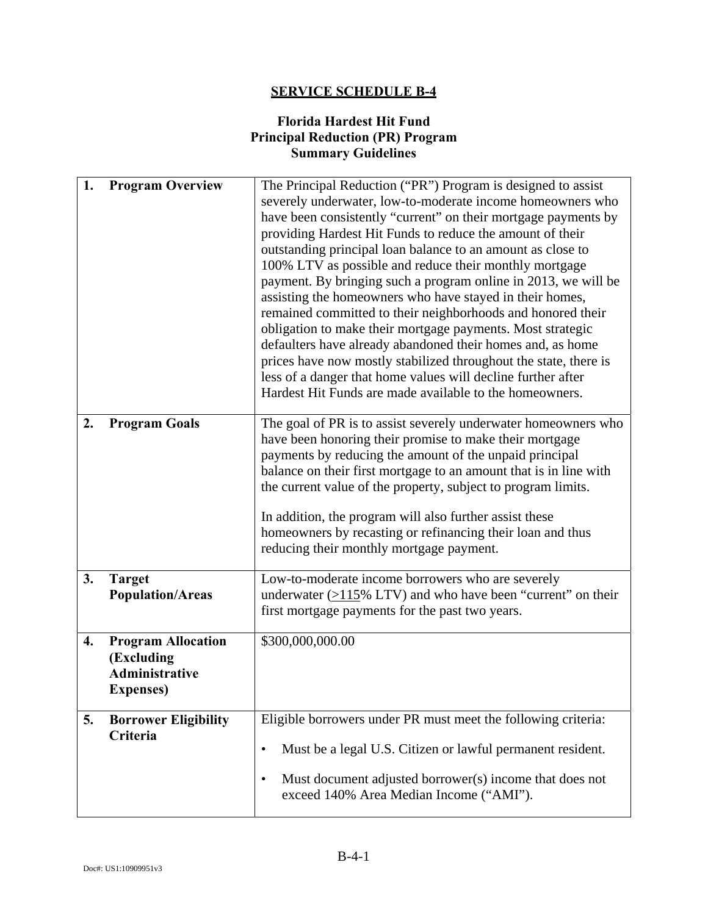## **Florida Hardest Hit Fund Principal Reduction (PR) Program Summary Guidelines**

| 1. | <b>Program Overview</b>                                                               | The Principal Reduction ("PR") Program is designed to assist<br>severely underwater, low-to-moderate income homeowners who<br>have been consistently "current" on their mortgage payments by<br>providing Hardest Hit Funds to reduce the amount of their<br>outstanding principal loan balance to an amount as close to<br>100% LTV as possible and reduce their monthly mortgage<br>payment. By bringing such a program online in 2013, we will be<br>assisting the homeowners who have stayed in their homes,<br>remained committed to their neighborhoods and honored their<br>obligation to make their mortgage payments. Most strategic<br>defaulters have already abandoned their homes and, as home<br>prices have now mostly stabilized throughout the state, there is<br>less of a danger that home values will decline further after<br>Hardest Hit Funds are made available to the homeowners. |
|----|---------------------------------------------------------------------------------------|------------------------------------------------------------------------------------------------------------------------------------------------------------------------------------------------------------------------------------------------------------------------------------------------------------------------------------------------------------------------------------------------------------------------------------------------------------------------------------------------------------------------------------------------------------------------------------------------------------------------------------------------------------------------------------------------------------------------------------------------------------------------------------------------------------------------------------------------------------------------------------------------------------|
| 2. | <b>Program Goals</b>                                                                  | The goal of PR is to assist severely underwater homeowners who<br>have been honoring their promise to make their mortgage<br>payments by reducing the amount of the unpaid principal<br>balance on their first mortgage to an amount that is in line with<br>the current value of the property, subject to program limits.<br>In addition, the program will also further assist these<br>homeowners by recasting or refinancing their loan and thus<br>reducing their monthly mortgage payment.                                                                                                                                                                                                                                                                                                                                                                                                            |
| 3. | <b>Target</b><br><b>Population/Areas</b>                                              | Low-to-moderate income borrowers who are severely<br>underwater $(>115\%$ LTV) and who have been "current" on their<br>first mortgage payments for the past two years.                                                                                                                                                                                                                                                                                                                                                                                                                                                                                                                                                                                                                                                                                                                                     |
| 4. | <b>Program Allocation</b><br>(Excluding<br><b>Administrative</b><br><b>Expenses</b> ) | \$300,000,000.00                                                                                                                                                                                                                                                                                                                                                                                                                                                                                                                                                                                                                                                                                                                                                                                                                                                                                           |
| 5. | <b>Borrower Eligibility</b><br>Criteria                                               | Eligible borrowers under PR must meet the following criteria:<br>Must be a legal U.S. Citizen or lawful permanent resident.<br>$\bullet$<br>Must document adjusted borrower(s) income that does not<br>$\bullet$<br>exceed 140% Area Median Income ("AMI").                                                                                                                                                                                                                                                                                                                                                                                                                                                                                                                                                                                                                                                |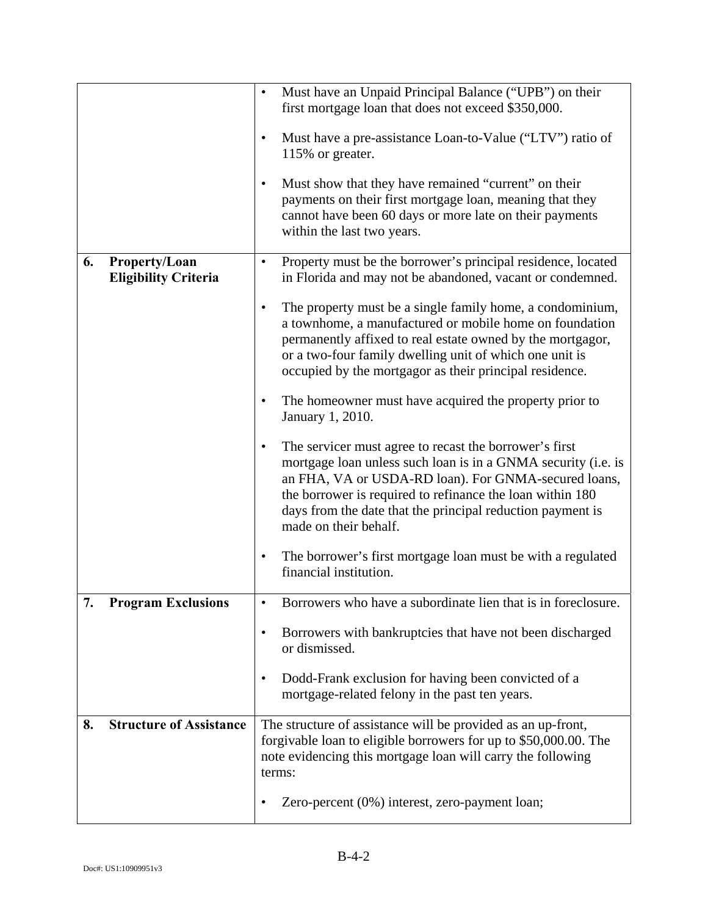|    |                                              | Must have an Unpaid Principal Balance ("UPB") on their<br>first mortgage loan that does not exceed \$350,000.<br>Must have a pre-assistance Loan-to-Value ("LTV") ratio of<br>$\bullet$<br>115% or greater.<br>Must show that they have remained "current" on their<br>payments on their first mortgage loan, meaning that they          |
|----|----------------------------------------------|------------------------------------------------------------------------------------------------------------------------------------------------------------------------------------------------------------------------------------------------------------------------------------------------------------------------------------------|
|    |                                              | cannot have been 60 days or more late on their payments<br>within the last two years.                                                                                                                                                                                                                                                    |
| 6. | Property/Loan<br><b>Eligibility Criteria</b> | Property must be the borrower's principal residence, located<br>in Florida and may not be abandoned, vacant or condemned.                                                                                                                                                                                                                |
|    |                                              | The property must be a single family home, a condominium,<br>$\bullet$<br>a townhome, a manufactured or mobile home on foundation<br>permanently affixed to real estate owned by the mortgagor,<br>or a two-four family dwelling unit of which one unit is<br>occupied by the mortgagor as their principal residence.                    |
|    |                                              | The homeowner must have acquired the property prior to<br>$\bullet$<br>January 1, 2010.                                                                                                                                                                                                                                                  |
|    |                                              | The servicer must agree to recast the borrower's first<br>٠<br>mortgage loan unless such loan is in a GNMA security (i.e. is<br>an FHA, VA or USDA-RD loan). For GNMA-secured loans,<br>the borrower is required to refinance the loan within 180<br>days from the date that the principal reduction payment is<br>made on their behalf. |
|    |                                              | The borrower's first mortgage loan must be with a regulated<br>٠<br>financial institution.                                                                                                                                                                                                                                               |
| 7. | <b>Program Exclusions</b>                    | Borrowers who have a subordinate lien that is in foreclosure.                                                                                                                                                                                                                                                                            |
|    |                                              | Borrowers with bankruptcies that have not been discharged<br>$\bullet$<br>or dismissed.                                                                                                                                                                                                                                                  |
|    |                                              | Dodd-Frank exclusion for having been convicted of a<br>٠<br>mortgage-related felony in the past ten years.                                                                                                                                                                                                                               |
| 8. | <b>Structure of Assistance</b>               | The structure of assistance will be provided as an up-front,<br>forgivable loan to eligible borrowers for up to \$50,000.00. The<br>note evidencing this mortgage loan will carry the following<br>terms:                                                                                                                                |
|    |                                              | Zero-percent (0%) interest, zero-payment loan;                                                                                                                                                                                                                                                                                           |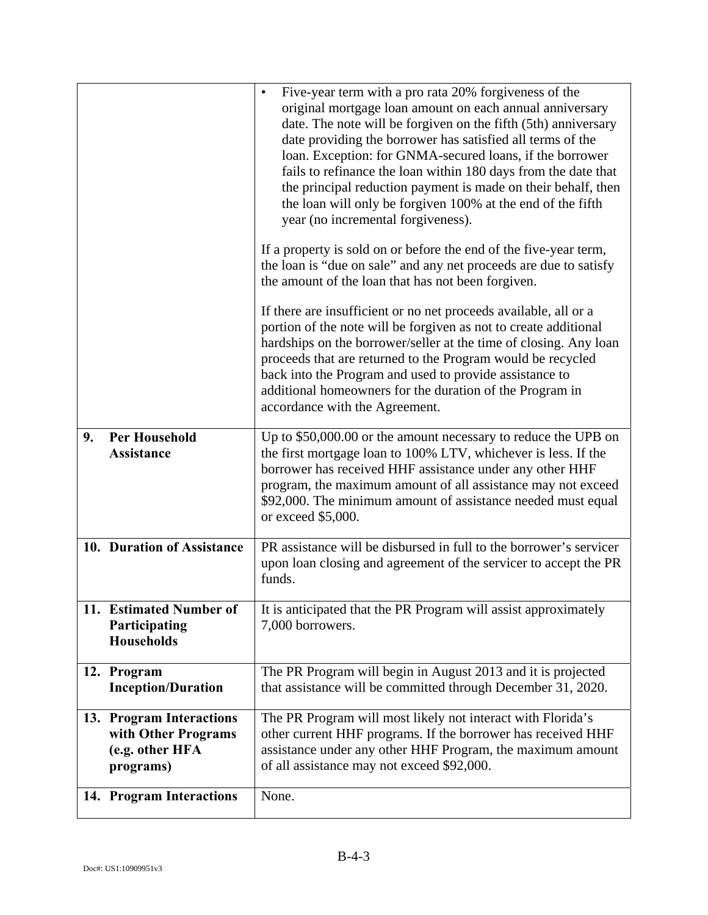|    |                                                                                 | Five-year term with a pro rata 20% for giveness of the<br>$\bullet$<br>original mortgage loan amount on each annual anniversary<br>date. The note will be forgiven on the fifth (5th) anniversary<br>date providing the borrower has satisfied all terms of the<br>loan. Exception: for GNMA-secured loans, if the borrower<br>fails to refinance the loan within 180 days from the date that<br>the principal reduction payment is made on their behalf, then<br>the loan will only be forgiven 100% at the end of the fifth<br>year (no incremental forgiveness). |
|----|---------------------------------------------------------------------------------|---------------------------------------------------------------------------------------------------------------------------------------------------------------------------------------------------------------------------------------------------------------------------------------------------------------------------------------------------------------------------------------------------------------------------------------------------------------------------------------------------------------------------------------------------------------------|
|    |                                                                                 | If a property is sold on or before the end of the five-year term,<br>the loan is "due on sale" and any net proceeds are due to satisfy<br>the amount of the loan that has not been forgiven.                                                                                                                                                                                                                                                                                                                                                                        |
|    |                                                                                 | If there are insufficient or no net proceeds available, all or a<br>portion of the note will be forgiven as not to create additional<br>hardships on the borrower/seller at the time of closing. Any loan<br>proceeds that are returned to the Program would be recycled<br>back into the Program and used to provide assistance to<br>additional homeowners for the duration of the Program in<br>accordance with the Agreement.                                                                                                                                   |
| 9. | <b>Per Household</b><br><b>Assistance</b>                                       | Up to \$50,000.00 or the amount necessary to reduce the UPB on<br>the first mortgage loan to 100% LTV, whichever is less. If the<br>borrower has received HHF assistance under any other HHF<br>program, the maximum amount of all assistance may not exceed<br>\$92,000. The minimum amount of assistance needed must equal<br>or exceed \$5,000.                                                                                                                                                                                                                  |
|    | 10. Duration of Assistance                                                      | PR assistance will be disbursed in full to the borrower's servicer<br>upon loan closing and agreement of the servicer to accept the PR<br>funds.                                                                                                                                                                                                                                                                                                                                                                                                                    |
|    | 11. Estimated Number of<br>Participating<br><b>Households</b>                   | It is anticipated that the PR Program will assist approximately<br>7,000 borrowers.                                                                                                                                                                                                                                                                                                                                                                                                                                                                                 |
|    | 12. Program<br><b>Inception/Duration</b>                                        | The PR Program will begin in August 2013 and it is projected<br>that assistance will be committed through December 31, 2020.                                                                                                                                                                                                                                                                                                                                                                                                                                        |
|    | 13. Program Interactions<br>with Other Programs<br>(e.g. other HFA<br>programs) | The PR Program will most likely not interact with Florida's<br>other current HHF programs. If the borrower has received HHF<br>assistance under any other HHF Program, the maximum amount<br>of all assistance may not exceed \$92,000.                                                                                                                                                                                                                                                                                                                             |
|    | 14. Program Interactions                                                        | None.                                                                                                                                                                                                                                                                                                                                                                                                                                                                                                                                                               |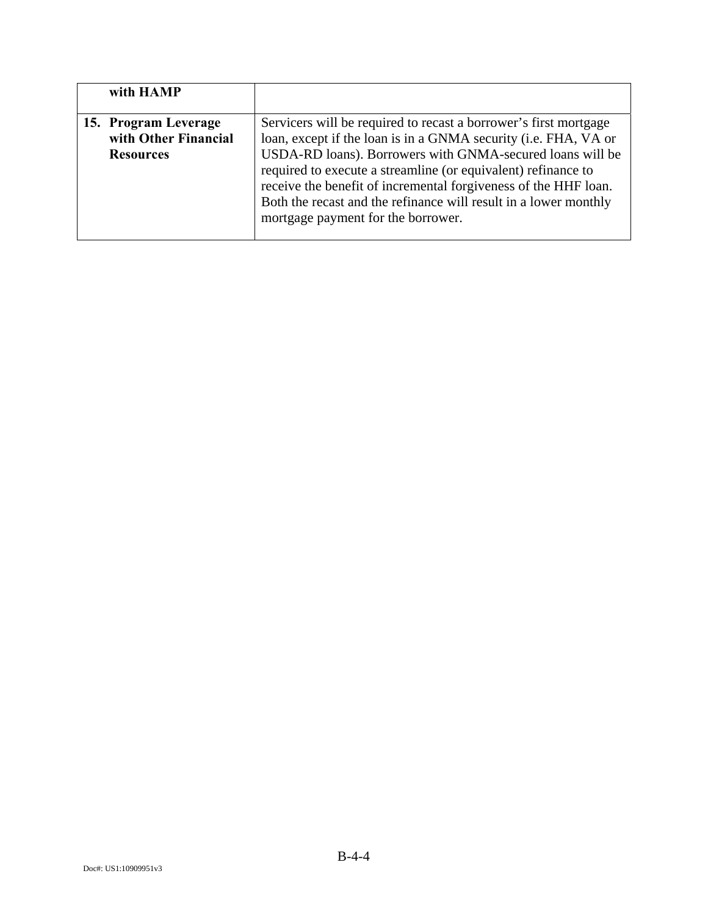| with HAMP            |                                                                  |
|----------------------|------------------------------------------------------------------|
|                      |                                                                  |
| 15. Program Leverage | Servicers will be required to recast a borrower's first mortgage |
| with Other Financial | loan, except if the loan is in a GNMA security (i.e. FHA, VA or  |
| <b>Resources</b>     | USDA-RD loans). Borrowers with GNMA-secured loans will be        |
|                      | required to execute a streamline (or equivalent) refinance to    |
|                      | receive the benefit of incremental forgiveness of the HHF loan.  |
|                      | Both the recast and the refinance will result in a lower monthly |
|                      | mortgage payment for the borrower.                               |
|                      |                                                                  |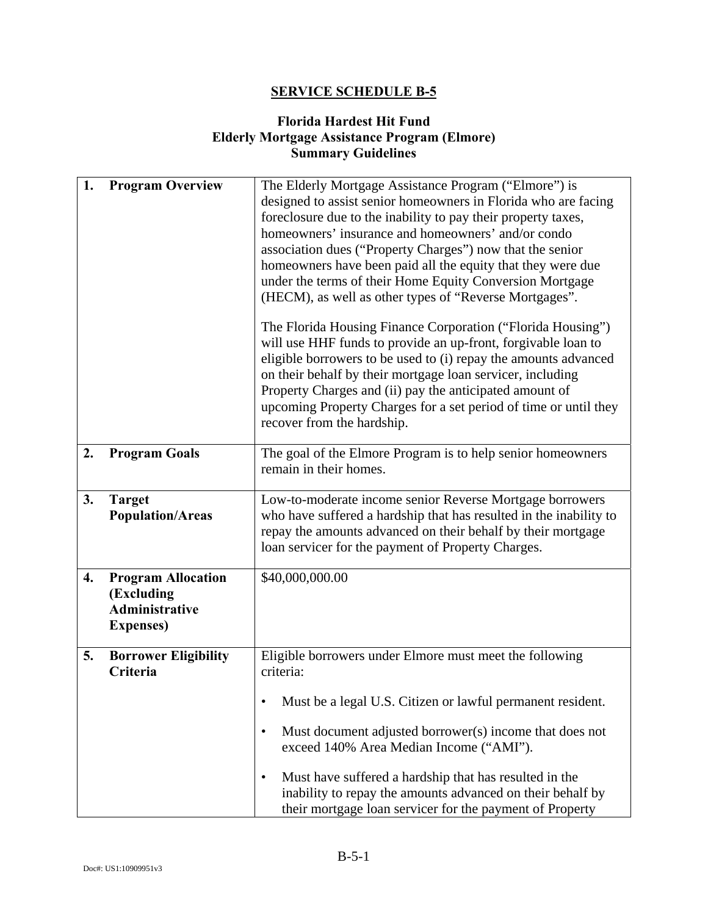## **Florida Hardest Hit Fund Elderly Mortgage Assistance Program (Elmore) Summary Guidelines**

| 1. | <b>Program Overview</b>                                                               | The Elderly Mortgage Assistance Program ("Elmore") is<br>designed to assist senior homeowners in Florida who are facing<br>foreclosure due to the inability to pay their property taxes,<br>homeowners' insurance and homeowners' and/or condo<br>association dues ("Property Charges") now that the senior<br>homeowners have been paid all the equity that they were due<br>under the terms of their Home Equity Conversion Mortgage<br>(HECM), as well as other types of "Reverse Mortgages". |
|----|---------------------------------------------------------------------------------------|--------------------------------------------------------------------------------------------------------------------------------------------------------------------------------------------------------------------------------------------------------------------------------------------------------------------------------------------------------------------------------------------------------------------------------------------------------------------------------------------------|
|    |                                                                                       | The Florida Housing Finance Corporation ("Florida Housing")<br>will use HHF funds to provide an up-front, forgivable loan to<br>eligible borrowers to be used to (i) repay the amounts advanced<br>on their behalf by their mortgage loan servicer, including<br>Property Charges and (ii) pay the anticipated amount of<br>upcoming Property Charges for a set period of time or until they<br>recover from the hardship.                                                                       |
| 2. | <b>Program Goals</b>                                                                  | The goal of the Elmore Program is to help senior homeowners<br>remain in their homes.                                                                                                                                                                                                                                                                                                                                                                                                            |
| 3. | <b>Target</b><br><b>Population/Areas</b>                                              | Low-to-moderate income senior Reverse Mortgage borrowers<br>who have suffered a hardship that has resulted in the inability to<br>repay the amounts advanced on their behalf by their mortgage<br>loan servicer for the payment of Property Charges.                                                                                                                                                                                                                                             |
| 4. | <b>Program Allocation</b><br>(Excluding<br><b>Administrative</b><br><b>Expenses</b> ) | \$40,000,000.00                                                                                                                                                                                                                                                                                                                                                                                                                                                                                  |
| 5. | <b>Borrower Eligibility</b><br>Criteria                                               | Eligible borrowers under Elmore must meet the following<br>criteria:                                                                                                                                                                                                                                                                                                                                                                                                                             |
|    |                                                                                       | Must be a legal U.S. Citizen or lawful permanent resident.<br>Must document adjusted borrower(s) income that does not<br>$\bullet$<br>exceed 140% Area Median Income ("AMI").<br>Must have suffered a hardship that has resulted in the<br>٠<br>inability to repay the amounts advanced on their behalf by<br>their mortgage loan servicer for the payment of Property                                                                                                                           |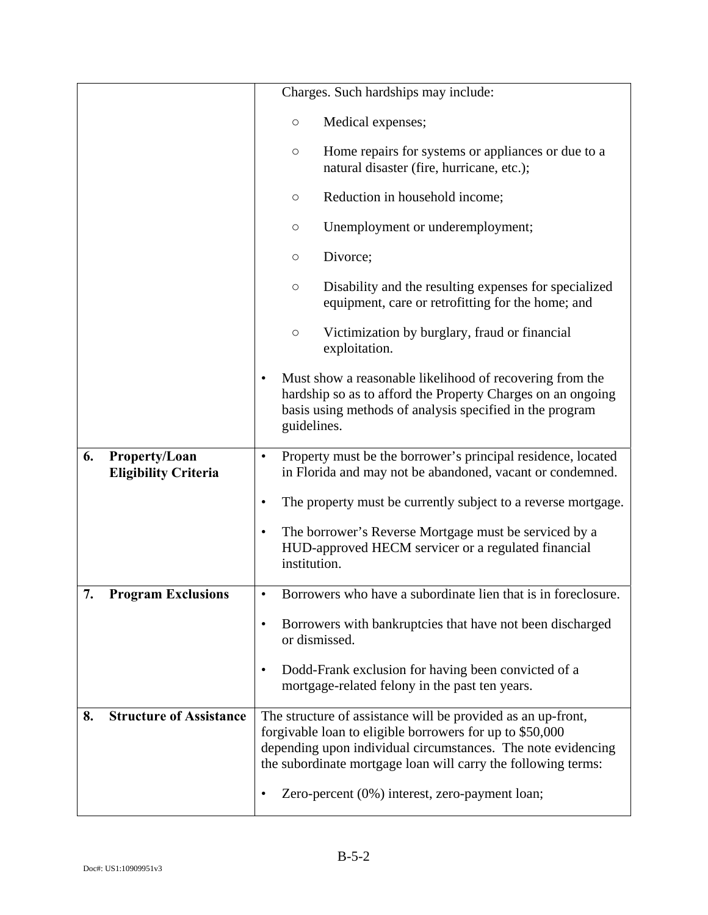|                                                    | Charges. Such hardships may include:                                                                                                                                                                                                                                                                        |
|----------------------------------------------------|-------------------------------------------------------------------------------------------------------------------------------------------------------------------------------------------------------------------------------------------------------------------------------------------------------------|
|                                                    | Medical expenses;<br>$\bigcirc$                                                                                                                                                                                                                                                                             |
|                                                    | Home repairs for systems or appliances or due to a<br>$\bigcirc$<br>natural disaster (fire, hurricane, etc.);                                                                                                                                                                                               |
|                                                    | Reduction in household income;<br>$\bigcirc$                                                                                                                                                                                                                                                                |
|                                                    | Unemployment or underemployment;<br>$\bigcirc$                                                                                                                                                                                                                                                              |
|                                                    | Divorce;<br>$\bigcirc$                                                                                                                                                                                                                                                                                      |
|                                                    | Disability and the resulting expenses for specialized<br>$\bigcirc$<br>equipment, care or retrofitting for the home; and                                                                                                                                                                                    |
|                                                    | Victimization by burglary, fraud or financial<br>$\bigcirc$<br>exploitation.                                                                                                                                                                                                                                |
|                                                    | Must show a reasonable likelihood of recovering from the<br>٠<br>hardship so as to afford the Property Charges on an ongoing<br>basis using methods of analysis specified in the program<br>guidelines.                                                                                                     |
| 6.<br>Property/Loan<br><b>Eligibility Criteria</b> | Property must be the borrower's principal residence, located<br>$\bullet$<br>in Florida and may not be abandoned, vacant or condemned.                                                                                                                                                                      |
|                                                    | The property must be currently subject to a reverse mortgage.<br>٠                                                                                                                                                                                                                                          |
|                                                    | The borrower's Reverse Mortgage must be serviced by a<br>$\bullet$<br>HUD-approved HECM servicer or a regulated financial<br>institution.                                                                                                                                                                   |
| 7.<br><b>Program Exclusions</b>                    | Borrowers who have a subordinate lien that is in foreclosure                                                                                                                                                                                                                                                |
|                                                    | Borrowers with bankruptcies that have not been discharged<br>٠<br>or dismissed.                                                                                                                                                                                                                             |
|                                                    | Dodd-Frank exclusion for having been convicted of a<br>$\bullet$<br>mortgage-related felony in the past ten years.                                                                                                                                                                                          |
| <b>Structure of Assistance</b><br>8.               | The structure of assistance will be provided as an up-front,<br>forgivable loan to eligible borrowers for up to \$50,000<br>depending upon individual circumstances. The note evidencing<br>the subordinate mortgage loan will carry the following terms:<br>Zero-percent (0%) interest, zero-payment loan; |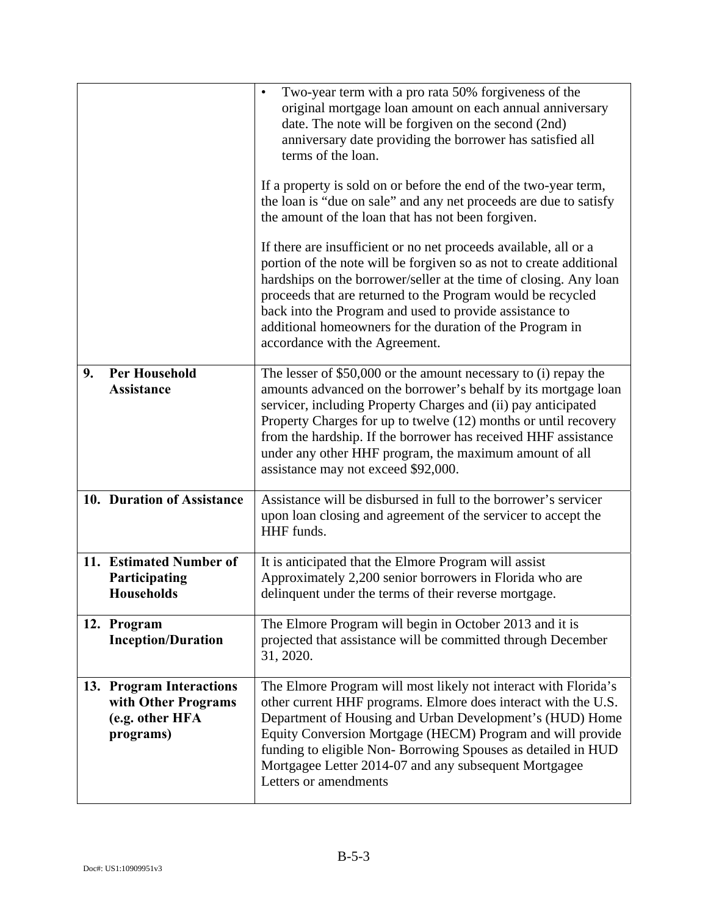|    |                                                                                 | Two-year term with a pro rata 50% forgiveness of the<br>$\bullet$<br>original mortgage loan amount on each annual anniversary<br>date. The note will be forgiven on the second (2nd)<br>anniversary date providing the borrower has satisfied all<br>terms of the loan.<br>If a property is sold on or before the end of the two-year term,<br>the loan is "due on sale" and any net proceeds are due to satisfy<br>the amount of the loan that has not been forgiven.<br>If there are insufficient or no net proceeds available, all or a<br>portion of the note will be forgiven so as not to create additional<br>hardships on the borrower/seller at the time of closing. Any loan<br>proceeds that are returned to the Program would be recycled<br>back into the Program and used to provide assistance to<br>additional homeowners for the duration of the Program in<br>accordance with the Agreement. |
|----|---------------------------------------------------------------------------------|----------------------------------------------------------------------------------------------------------------------------------------------------------------------------------------------------------------------------------------------------------------------------------------------------------------------------------------------------------------------------------------------------------------------------------------------------------------------------------------------------------------------------------------------------------------------------------------------------------------------------------------------------------------------------------------------------------------------------------------------------------------------------------------------------------------------------------------------------------------------------------------------------------------|
| 9. | <b>Per Household</b><br><b>Assistance</b>                                       | The lesser of \$50,000 or the amount necessary to (i) repay the<br>amounts advanced on the borrower's behalf by its mortgage loan<br>servicer, including Property Charges and (ii) pay anticipated<br>Property Charges for up to twelve (12) months or until recovery<br>from the hardship. If the borrower has received HHF assistance<br>under any other HHF program, the maximum amount of all<br>assistance may not exceed \$92,000.                                                                                                                                                                                                                                                                                                                                                                                                                                                                       |
|    | 10. Duration of Assistance                                                      | Assistance will be disbursed in full to the borrower's servicer<br>upon loan closing and agreement of the servicer to accept the<br>HHF funds.                                                                                                                                                                                                                                                                                                                                                                                                                                                                                                                                                                                                                                                                                                                                                                 |
|    | 11. Estimated Number of<br>Participating<br><b>Households</b>                   | It is anticipated that the Elmore Program will assist<br>Approximately 2,200 senior borrowers in Florida who are<br>delinquent under the terms of their reverse mortgage.                                                                                                                                                                                                                                                                                                                                                                                                                                                                                                                                                                                                                                                                                                                                      |
|    | 12. Program<br><b>Inception/Duration</b>                                        | The Elmore Program will begin in October 2013 and it is<br>projected that assistance will be committed through December<br>31, 2020.                                                                                                                                                                                                                                                                                                                                                                                                                                                                                                                                                                                                                                                                                                                                                                           |
|    | 13. Program Interactions<br>with Other Programs<br>(e.g. other HFA<br>programs) | The Elmore Program will most likely not interact with Florida's<br>other current HHF programs. Elmore does interact with the U.S.<br>Department of Housing and Urban Development's (HUD) Home<br>Equity Conversion Mortgage (HECM) Program and will provide<br>funding to eligible Non-Borrowing Spouses as detailed in HUD<br>Mortgagee Letter 2014-07 and any subsequent Mortgagee<br>Letters or amendments                                                                                                                                                                                                                                                                                                                                                                                                                                                                                                  |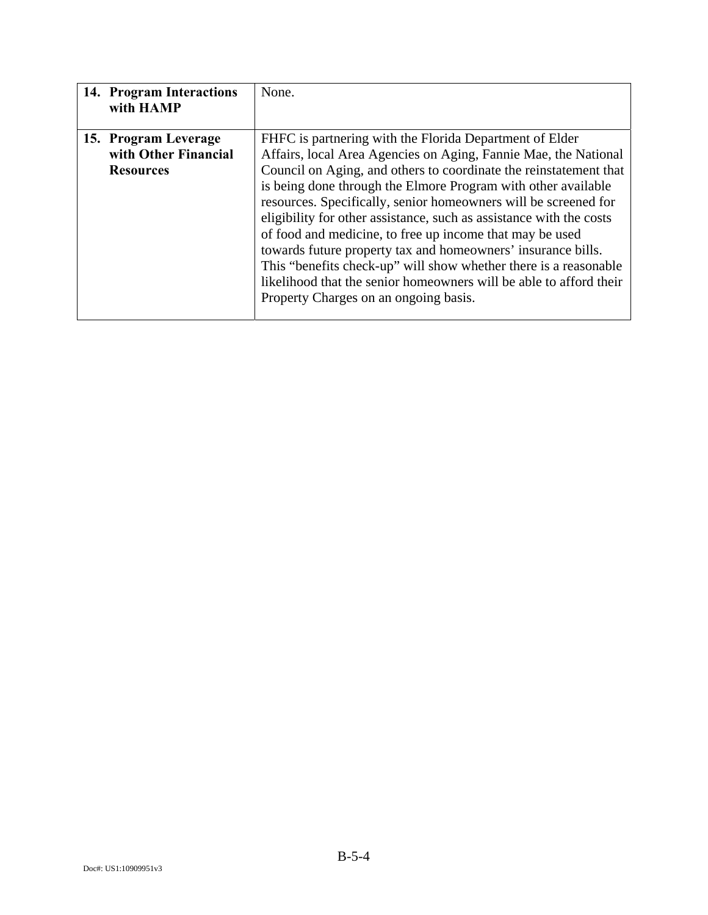| 14. Program Interactions<br>with HAMP                            | None.                                                                                                                                                                                                                                                                                                                                                                                                                                                                                                                                                                                                                                                                                                                     |
|------------------------------------------------------------------|---------------------------------------------------------------------------------------------------------------------------------------------------------------------------------------------------------------------------------------------------------------------------------------------------------------------------------------------------------------------------------------------------------------------------------------------------------------------------------------------------------------------------------------------------------------------------------------------------------------------------------------------------------------------------------------------------------------------------|
| 15. Program Leverage<br>with Other Financial<br><b>Resources</b> | FHFC is partnering with the Florida Department of Elder<br>Affairs, local Area Agencies on Aging, Fannie Mae, the National<br>Council on Aging, and others to coordinate the reinstatement that<br>is being done through the Elmore Program with other available<br>resources. Specifically, senior homeowners will be screened for<br>eligibility for other assistance, such as assistance with the costs<br>of food and medicine, to free up income that may be used<br>towards future property tax and homeowners' insurance bills.<br>This "benefits check-up" will show whether there is a reasonable<br>likelihood that the senior homeowners will be able to afford their<br>Property Charges on an ongoing basis. |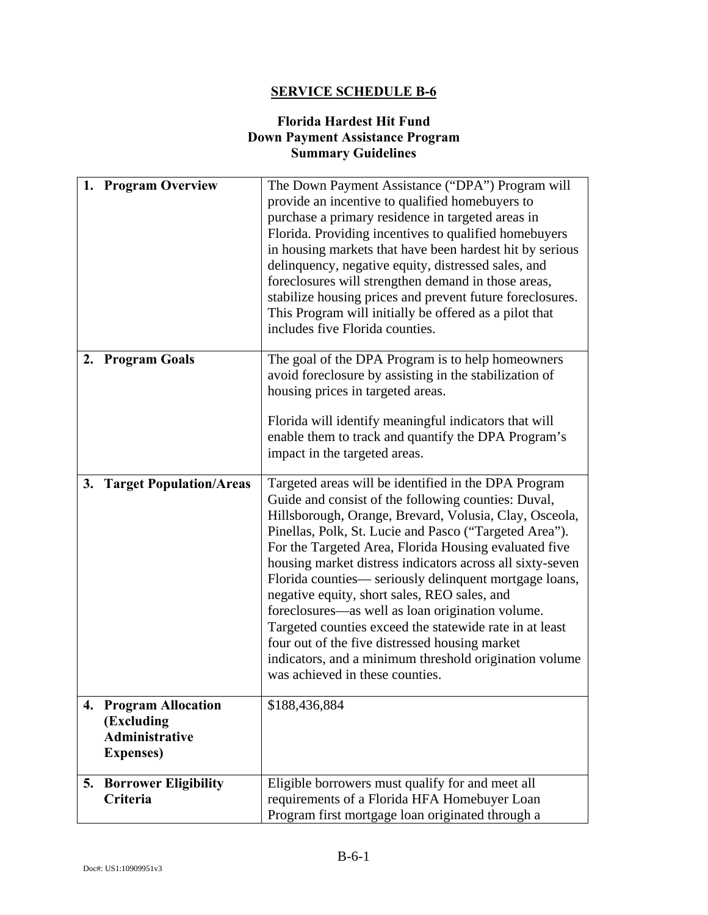## **Florida Hardest Hit Fund Down Payment Assistance Program Summary Guidelines**

|    | 1. Program Overview                                                               | The Down Payment Assistance ("DPA") Program will<br>provide an incentive to qualified homebuyers to<br>purchase a primary residence in targeted areas in<br>Florida. Providing incentives to qualified homebuyers<br>in housing markets that have been hardest hit by serious<br>delinquency, negative equity, distressed sales, and<br>foreclosures will strengthen demand in those areas,<br>stabilize housing prices and prevent future foreclosures.<br>This Program will initially be offered as a pilot that<br>includes five Florida counties.                                                                                                                                                                         |
|----|-----------------------------------------------------------------------------------|-------------------------------------------------------------------------------------------------------------------------------------------------------------------------------------------------------------------------------------------------------------------------------------------------------------------------------------------------------------------------------------------------------------------------------------------------------------------------------------------------------------------------------------------------------------------------------------------------------------------------------------------------------------------------------------------------------------------------------|
|    | 2. Program Goals                                                                  | The goal of the DPA Program is to help homeowners<br>avoid foreclosure by assisting in the stabilization of<br>housing prices in targeted areas.<br>Florida will identify meaningful indicators that will<br>enable them to track and quantify the DPA Program's<br>impact in the targeted areas.                                                                                                                                                                                                                                                                                                                                                                                                                             |
| 3. | <b>Target Population/Areas</b>                                                    | Targeted areas will be identified in the DPA Program<br>Guide and consist of the following counties: Duval,<br>Hillsborough, Orange, Brevard, Volusia, Clay, Osceola,<br>Pinellas, Polk, St. Lucie and Pasco ("Targeted Area").<br>For the Targeted Area, Florida Housing evaluated five<br>housing market distress indicators across all sixty-seven<br>Florida counties— seriously delinquent mortgage loans,<br>negative equity, short sales, REO sales, and<br>foreclosures-as well as loan origination volume.<br>Targeted counties exceed the statewide rate in at least<br>four out of the five distressed housing market<br>indicators, and a minimum threshold origination volume<br>was achieved in these counties. |
|    | 4. Program Allocation<br>(Excluding<br><b>Administrative</b><br><b>Expenses</b> ) | \$188,436,884                                                                                                                                                                                                                                                                                                                                                                                                                                                                                                                                                                                                                                                                                                                 |
|    | <b>5. Borrower Eligibility</b><br>Criteria                                        | Eligible borrowers must qualify for and meet all<br>requirements of a Florida HFA Homebuyer Loan<br>Program first mortgage loan originated through a                                                                                                                                                                                                                                                                                                                                                                                                                                                                                                                                                                          |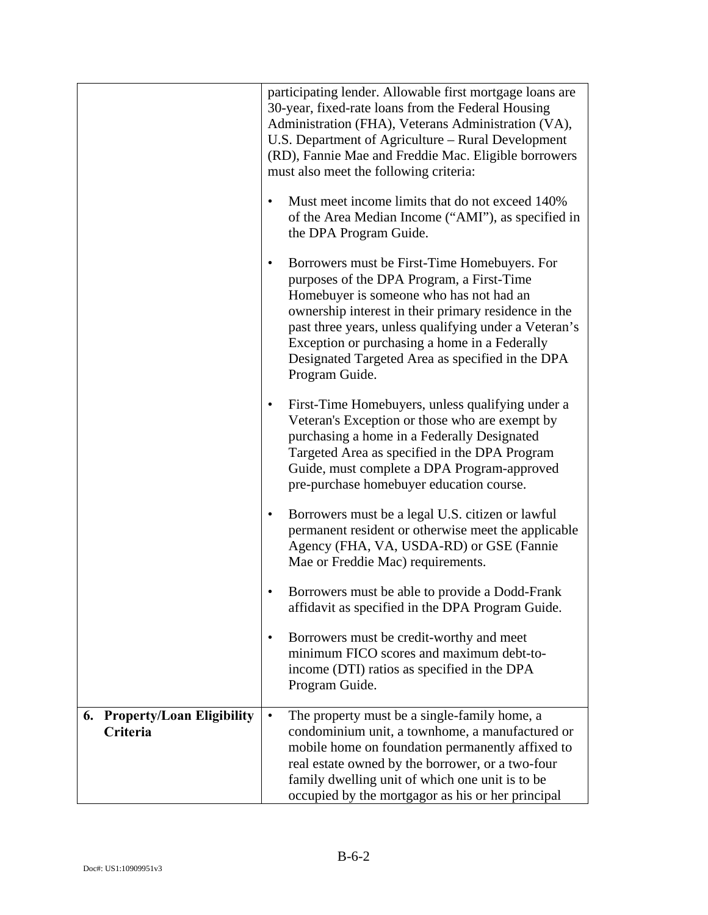|                                                    | participating lender. Allowable first mortgage loans are<br>30-year, fixed-rate loans from the Federal Housing<br>Administration (FHA), Veterans Administration (VA),<br>U.S. Department of Agriculture – Rural Development<br>(RD), Fannie Mae and Freddie Mac. Eligible borrowers<br>must also meet the following criteria:                                                     |
|----------------------------------------------------|-----------------------------------------------------------------------------------------------------------------------------------------------------------------------------------------------------------------------------------------------------------------------------------------------------------------------------------------------------------------------------------|
|                                                    | Must meet income limits that do not exceed 140%<br>$\bullet$<br>of the Area Median Income ("AMI"), as specified in<br>the DPA Program Guide.                                                                                                                                                                                                                                      |
|                                                    | Borrowers must be First-Time Homebuyers. For<br>٠<br>purposes of the DPA Program, a First-Time<br>Homebuyer is someone who has not had an<br>ownership interest in their primary residence in the<br>past three years, unless qualifying under a Veteran's<br>Exception or purchasing a home in a Federally<br>Designated Targeted Area as specified in the DPA<br>Program Guide. |
|                                                    | First-Time Homebuyers, unless qualifying under a<br>٠<br>Veteran's Exception or those who are exempt by<br>purchasing a home in a Federally Designated<br>Targeted Area as specified in the DPA Program<br>Guide, must complete a DPA Program-approved<br>pre-purchase homebuyer education course.                                                                                |
|                                                    | Borrowers must be a legal U.S. citizen or lawful<br>$\bullet$<br>permanent resident or otherwise meet the applicable<br>Agency (FHA, VA, USDA-RD) or GSE (Fannie<br>Mae or Freddie Mac) requirements.                                                                                                                                                                             |
|                                                    | Borrowers must be able to provide a Dodd-Frank<br>affidavit as specified in the DPA Program Guide.                                                                                                                                                                                                                                                                                |
|                                                    | Borrowers must be credit-worthy and meet<br>minimum FICO scores and maximum debt-to-<br>income (DTI) ratios as specified in the DPA<br>Program Guide.                                                                                                                                                                                                                             |
| <b>Property/Loan Eligibility</b><br>6.<br>Criteria | The property must be a single-family home, a<br>$\bullet$<br>condominium unit, a townhome, a manufactured or<br>mobile home on foundation permanently affixed to<br>real estate owned by the borrower, or a two-four<br>family dwelling unit of which one unit is to be<br>occupied by the mortgagor as his or her principal                                                      |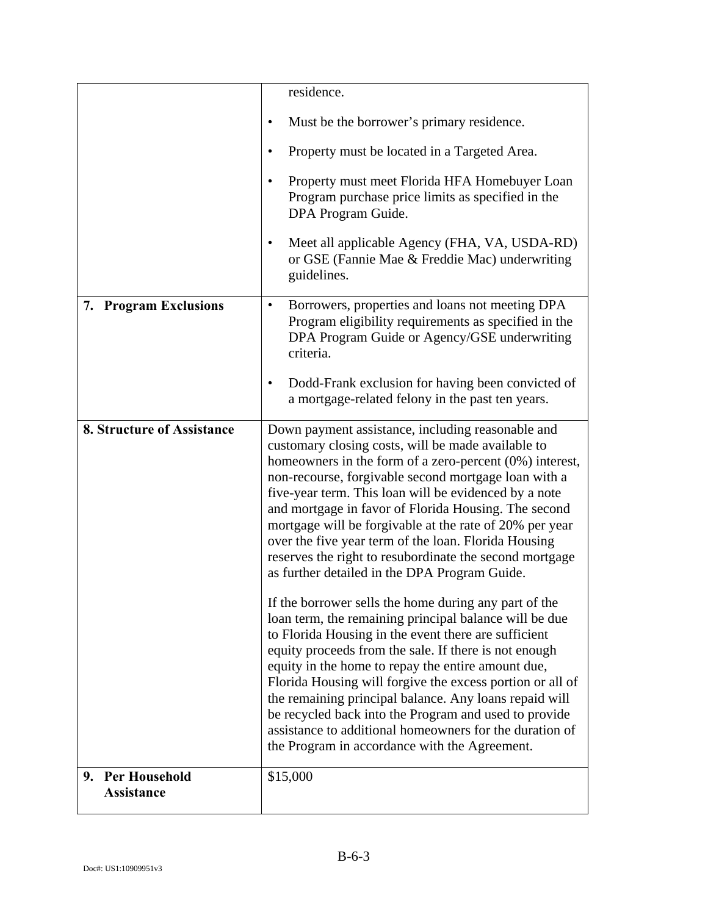|                            | residence.                                                                                                                                                                                                                                                                                                                                                                                                                                                                                                                                                                         |
|----------------------------|------------------------------------------------------------------------------------------------------------------------------------------------------------------------------------------------------------------------------------------------------------------------------------------------------------------------------------------------------------------------------------------------------------------------------------------------------------------------------------------------------------------------------------------------------------------------------------|
|                            | Must be the borrower's primary residence.<br>$\bullet$                                                                                                                                                                                                                                                                                                                                                                                                                                                                                                                             |
|                            | Property must be located in a Targeted Area.<br>$\bullet$                                                                                                                                                                                                                                                                                                                                                                                                                                                                                                                          |
|                            | Property must meet Florida HFA Homebuyer Loan<br>$\bullet$<br>Program purchase price limits as specified in the<br>DPA Program Guide.                                                                                                                                                                                                                                                                                                                                                                                                                                              |
|                            | Meet all applicable Agency (FHA, VA, USDA-RD)<br>$\bullet$<br>or GSE (Fannie Mae & Freddie Mac) underwriting<br>guidelines.                                                                                                                                                                                                                                                                                                                                                                                                                                                        |
| 7. Program Exclusions      | Borrowers, properties and loans not meeting DPA<br>$\bullet$<br>Program eligibility requirements as specified in the<br>DPA Program Guide or Agency/GSE underwriting<br>criteria.                                                                                                                                                                                                                                                                                                                                                                                                  |
|                            | Dodd-Frank exclusion for having been convicted of<br>$\bullet$<br>a mortgage-related felony in the past ten years.                                                                                                                                                                                                                                                                                                                                                                                                                                                                 |
| 8. Structure of Assistance | Down payment assistance, including reasonable and<br>customary closing costs, will be made available to<br>homeowners in the form of a zero-percent $(0\%)$ interest,<br>non-recourse, forgivable second mortgage loan with a<br>five-year term. This loan will be evidenced by a note<br>and mortgage in favor of Florida Housing. The second<br>mortgage will be forgivable at the rate of 20% per year<br>over the five year term of the loan. Florida Housing<br>reserves the right to resubordinate the second mortgage<br>as further detailed in the DPA Program Guide.      |
|                            | If the borrower sells the home during any part of the<br>loan term, the remaining principal balance will be due<br>to Florida Housing in the event there are sufficient<br>equity proceeds from the sale. If there is not enough<br>equity in the home to repay the entire amount due,<br>Florida Housing will forgive the excess portion or all of<br>the remaining principal balance. Any loans repaid will<br>be recycled back into the Program and used to provide<br>assistance to additional homeowners for the duration of<br>the Program in accordance with the Agreement. |
| <b>Per Household</b><br>9. | \$15,000                                                                                                                                                                                                                                                                                                                                                                                                                                                                                                                                                                           |
| <b>Assistance</b>          |                                                                                                                                                                                                                                                                                                                                                                                                                                                                                                                                                                                    |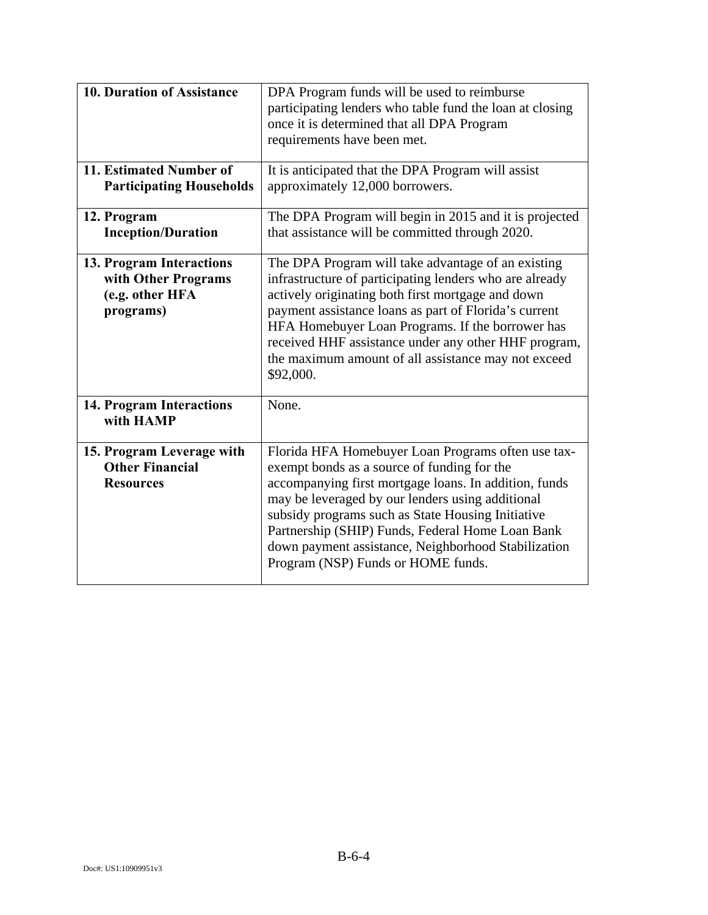| 10. Duration of Assistance                                                      | DPA Program funds will be used to reimburse<br>participating lenders who table fund the loan at closing<br>once it is determined that all DPA Program<br>requirements have been met.                                                                                                                                                                                                                                 |
|---------------------------------------------------------------------------------|----------------------------------------------------------------------------------------------------------------------------------------------------------------------------------------------------------------------------------------------------------------------------------------------------------------------------------------------------------------------------------------------------------------------|
| 11. Estimated Number of<br><b>Participating Households</b>                      | It is anticipated that the DPA Program will assist<br>approximately 12,000 borrowers.                                                                                                                                                                                                                                                                                                                                |
| 12. Program<br><b>Inception/Duration</b>                                        | The DPA Program will begin in 2015 and it is projected<br>that assistance will be committed through 2020.                                                                                                                                                                                                                                                                                                            |
| 13. Program Interactions<br>with Other Programs<br>(e.g. other HFA<br>programs) | The DPA Program will take advantage of an existing<br>infrastructure of participating lenders who are already<br>actively originating both first mortgage and down<br>payment assistance loans as part of Florida's current<br>HFA Homebuyer Loan Programs. If the borrower has<br>received HHF assistance under any other HHF program,<br>the maximum amount of all assistance may not exceed<br>\$92,000.          |
| <b>14. Program Interactions</b><br>with HAMP                                    | None.                                                                                                                                                                                                                                                                                                                                                                                                                |
| 15. Program Leverage with<br><b>Other Financial</b><br><b>Resources</b>         | Florida HFA Homebuyer Loan Programs often use tax-<br>exempt bonds as a source of funding for the<br>accompanying first mortgage loans. In addition, funds<br>may be leveraged by our lenders using additional<br>subsidy programs such as State Housing Initiative<br>Partnership (SHIP) Funds, Federal Home Loan Bank<br>down payment assistance, Neighborhood Stabilization<br>Program (NSP) Funds or HOME funds. |